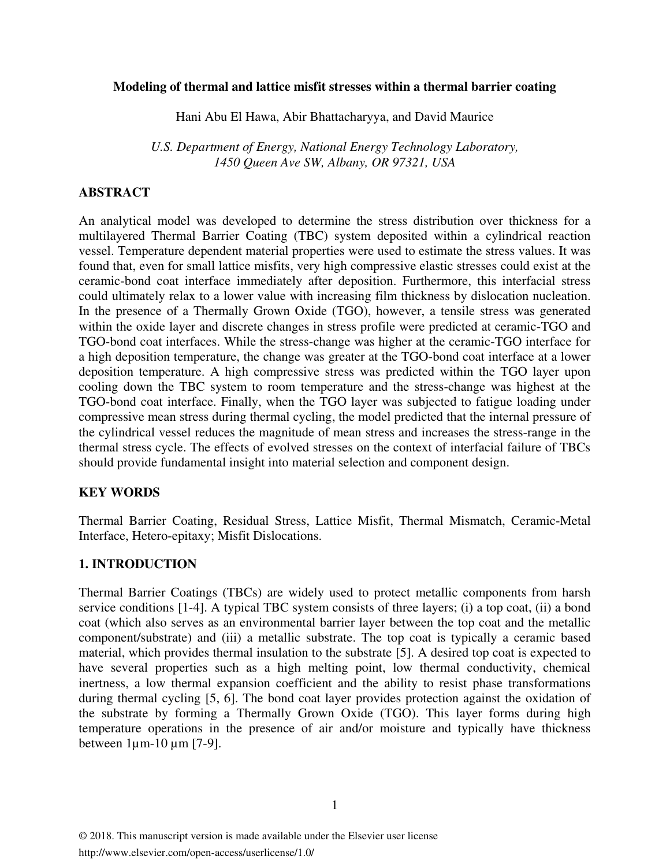#### **Modeling of thermal and lattice misfit stresses within a thermal barrier coating**

Hani Abu El Hawa, Abir Bhattacharyya, and David Maurice

*U.S. Department of Energy, National Energy Technology Laboratory, 1450 Queen Ave SW, Albany, OR 97321, USA* 

## **ABSTRACT**

An analytical model was developed to determine the stress distribution over thickness for a multilayered Thermal Barrier Coating (TBC) system deposited within a cylindrical reaction vessel. Temperature dependent material properties were used to estimate the stress values. It was found that, even for small lattice misfits, very high compressive elastic stresses could exist at the ceramic-bond coat interface immediately after deposition. Furthermore, this interfacial stress could ultimately relax to a lower value with increasing film thickness by dislocation nucleation. In the presence of a Thermally Grown Oxide (TGO), however, a tensile stress was generated within the oxide layer and discrete changes in stress profile were predicted at ceramic-TGO and TGO-bond coat interfaces. While the stress-change was higher at the ceramic-TGO interface for a high deposition temperature, the change was greater at the TGO-bond coat interface at a lower deposition temperature. A high compressive stress was predicted within the TGO layer upon cooling down the TBC system to room temperature and the stress-change was highest at the TGO-bond coat interface. Finally, when the TGO layer was subjected to fatigue loading under compressive mean stress during thermal cycling, the model predicted that the internal pressure of the cylindrical vessel reduces the magnitude of mean stress and increases the stress-range in the thermal stress cycle. The effects of evolved stresses on the context of interfacial failure of TBCs should provide fundamental insight into material selection and component design.

## **KEY WORDS**

Thermal Barrier Coating, Residual Stress, Lattice Misfit, Thermal Mismatch, Ceramic-Metal Interface, Hetero-epitaxy; Misfit Dislocations.

## **1. INTRODUCTION**

Thermal Barrier Coatings (TBCs) are widely used to protect metallic components from harsh service conditions [1-4]. A typical TBC system consists of three layers; (i) a top coat, (ii) a bond coat (which also serves as an environmental barrier layer between the top coat and the metallic component/substrate) and (iii) a metallic substrate. The top coat is typically a ceramic based material, which provides thermal insulation to the substrate [5]. A desired top coat is expected to have several properties such as a high melting point, low thermal conductivity, chemical inertness, a low thermal expansion coefficient and the ability to resist phase transformations during thermal cycling [5, 6]. The bond coat layer provides protection against the oxidation of the substrate by forming a Thermally Grown Oxide (TGO). This layer forms during high temperature operations in the presence of air and/or moisture and typically have thickness between 1µm-10 µm [7-9].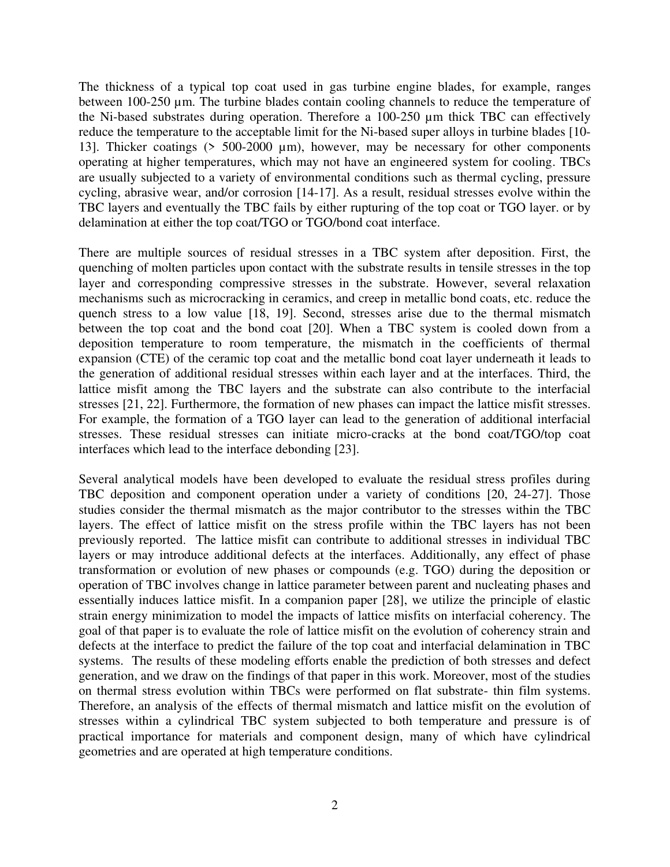The thickness of a typical top coat used in gas turbine engine blades, for example, ranges between 100-250 µm. The turbine blades contain cooling channels to reduce the temperature of the Ni-based substrates during operation. Therefore a 100-250 µm thick TBC can effectively reduce the temperature to the acceptable limit for the Ni-based super alloys in turbine blades [10- 13]. Thicker coatings (> 500-2000 µm), however, may be necessary for other components operating at higher temperatures, which may not have an engineered system for cooling. TBCs are usually subjected to a variety of environmental conditions such as thermal cycling, pressure cycling, abrasive wear, and/or corrosion [14-17]. As a result, residual stresses evolve within the TBC layers and eventually the TBC fails by either rupturing of the top coat or TGO layer. or by delamination at either the top coat/TGO or TGO/bond coat interface.

There are multiple sources of residual stresses in a TBC system after deposition. First, the quenching of molten particles upon contact with the substrate results in tensile stresses in the top layer and corresponding compressive stresses in the substrate. However, several relaxation mechanisms such as microcracking in ceramics, and creep in metallic bond coats, etc. reduce the quench stress to a low value [18, 19]. Second, stresses arise due to the thermal mismatch between the top coat and the bond coat [20]. When a TBC system is cooled down from a deposition temperature to room temperature, the mismatch in the coefficients of thermal expansion (CTE) of the ceramic top coat and the metallic bond coat layer underneath it leads to the generation of additional residual stresses within each layer and at the interfaces. Third, the lattice misfit among the TBC layers and the substrate can also contribute to the interfacial stresses [21, 22]. Furthermore, the formation of new phases can impact the lattice misfit stresses. For example, the formation of a TGO layer can lead to the generation of additional interfacial stresses. These residual stresses can initiate micro-cracks at the bond coat/TGO/top coat interfaces which lead to the interface debonding [23].

Several analytical models have been developed to evaluate the residual stress profiles during TBC deposition and component operation under a variety of conditions [20, 24-27]. Those studies consider the thermal mismatch as the major contributor to the stresses within the TBC layers. The effect of lattice misfit on the stress profile within the TBC layers has not been previously reported. The lattice misfit can contribute to additional stresses in individual TBC layers or may introduce additional defects at the interfaces. Additionally, any effect of phase transformation or evolution of new phases or compounds (e.g. TGO) during the deposition or operation of TBC involves change in lattice parameter between parent and nucleating phases and essentially induces lattice misfit. In a companion paper [28], we utilize the principle of elastic strain energy minimization to model the impacts of lattice misfits on interfacial coherency. The goal of that paper is to evaluate the role of lattice misfit on the evolution of coherency strain and defects at the interface to predict the failure of the top coat and interfacial delamination in TBC systems. The results of these modeling efforts enable the prediction of both stresses and defect generation, and we draw on the findings of that paper in this work. Moreover, most of the studies on thermal stress evolution within TBCs were performed on flat substrate- thin film systems. Therefore, an analysis of the effects of thermal mismatch and lattice misfit on the evolution of stresses within a cylindrical TBC system subjected to both temperature and pressure is of practical importance for materials and component design, many of which have cylindrical geometries and are operated at high temperature conditions.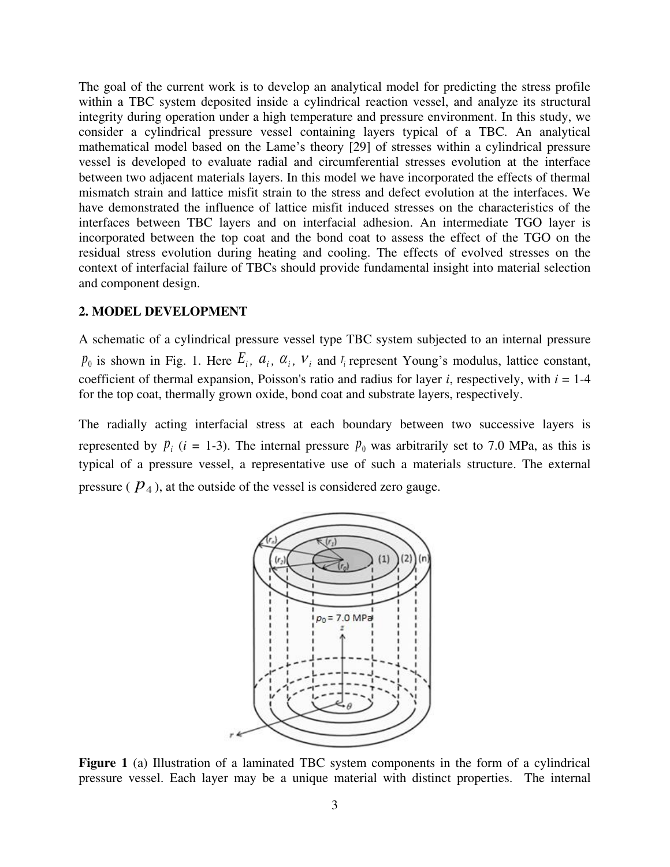The goal of the current work is to develop an analytical model for predicting the stress profile within a TBC system deposited inside a cylindrical reaction vessel, and analyze its structural integrity during operation under a high temperature and pressure environment. In this study, we consider a cylindrical pressure vessel containing layers typical of a TBC. An analytical mathematical model based on the Lame's theory [29] of stresses within a cylindrical pressure vessel is developed to evaluate radial and circumferential stresses evolution at the interface between two adjacent materials layers. In this model we have incorporated the effects of thermal mismatch strain and lattice misfit strain to the stress and defect evolution at the interfaces. We have demonstrated the influence of lattice misfit induced stresses on the characteristics of the interfaces between TBC layers and on interfacial adhesion. An intermediate TGO layer is incorporated between the top coat and the bond coat to assess the effect of the TGO on the residual stress evolution during heating and cooling. The effects of evolved stresses on the context of interfacial failure of TBCs should provide fundamental insight into material selection and component design.

#### **2. MODEL DEVELOPMENT**

A schematic of a cylindrical pressure vessel type TBC system subjected to an internal pressure  $p_0$  is shown in Fig. 1. Here  $E_i$ ,  $a_i$ ,  $a_i$ ,  $v_i$  and  $r_i$  represent Young's modulus, lattice constant, coefficient of thermal expansion, Poisson's ratio and radius for layer *i*, respectively, with *i* = 1-4 for the top coat, thermally grown oxide, bond coat and substrate layers, respectively.

The radially acting interfacial stress at each boundary between two successive layers is represented by  $p_i$  (*i* = 1-3). The internal pressure  $p_0$  was arbitrarily set to 7.0 MPa, as this is typical of a pressure vessel, a representative use of such a materials structure. The external pressure  $(\,P_4)$ , at the outside of the vessel is considered zero gauge.



Figure 1 (a) Illustration of a laminated TBC system components in the form of a cylindrical pressure vessel. Each layer may be a unique material with distinct properties. The internal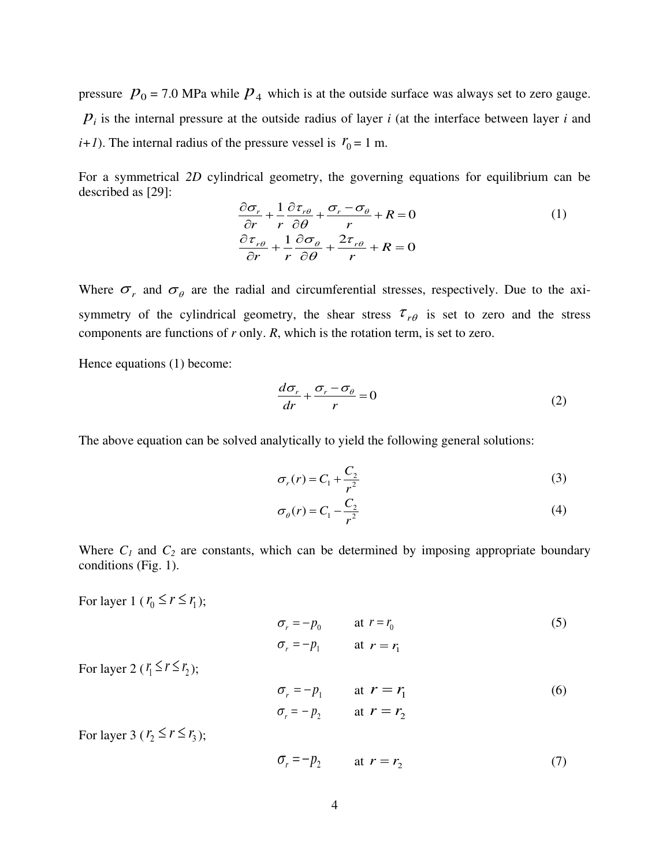pressure  $p_0 = 7.0$  MPa while  $p_4$  which is at the outside surface was always set to zero gauge. *pi* is the internal pressure at the outside radius of layer *i* (at the interface between layer *i* and  $(i+1)$ . The internal radius of the pressure vessel is  $r_0 = 1$  m.

For a symmetrical *2D* cylindrical geometry, the governing equations for equilibrium can be described as [29]:

$$
\frac{\partial \sigma_r}{\partial r} + \frac{1}{r} \frac{\partial \tau_{r\theta}}{\partial \theta} + \frac{\sigma_r - \sigma_\theta}{r} + R = 0
$$
\n
$$
\frac{\partial \tau_{r\theta}}{\partial r} + \frac{1}{r} \frac{\partial \sigma_\theta}{\partial \theta} + \frac{2\tau_{r\theta}}{r} + R = 0
$$
\n(1)

Where  $\sigma_r$  and  $\sigma_\theta$  are the radial and circumferential stresses, respectively. Due to the axisymmetry of the cylindrical geometry, the shear stress  $\tau_{r\theta}$  is set to zero and the stress components are functions of *r* only. *R*, which is the rotation term, is set to zero.

Hence equations (1) become:

$$
\frac{d\sigma_r}{dr} + \frac{\sigma_r - \sigma_\theta}{r} = 0\tag{2}
$$

The above equation can be solved analytically to yield the following general solutions:

$$
\sigma_r(r) = C_1 + \frac{C_2}{r^2} \tag{3}
$$

$$
\sigma_{\theta}(r) = C_1 - \frac{C_2}{r^2} \tag{4}
$$

Where  $C_I$  and  $C_2$  are constants, which can be determined by imposing appropriate boundary conditions (Fig. 1).

For layer 1 ( $r_0 \le r \le r_1$ );

$$
\sigma_r = -p_0 \qquad \text{at } r = r_0
$$
  
\n
$$
\sigma_r = -p_1 \qquad \text{at } r = r_1
$$
\n(5)

For layer 2 ( $r_1 \le r \le r_2$ );

$$
\sigma_r = -p_1 \qquad \text{at } r = r_1
$$
  
\n
$$
\sigma_r = -p_2 \qquad \text{at } r = r_2
$$
 (6)

For layer 3 ( $r_2 \le r \le r_3$ );

$$
\sigma_r = -p_2 \qquad \text{at } r = r_2 \tag{7}
$$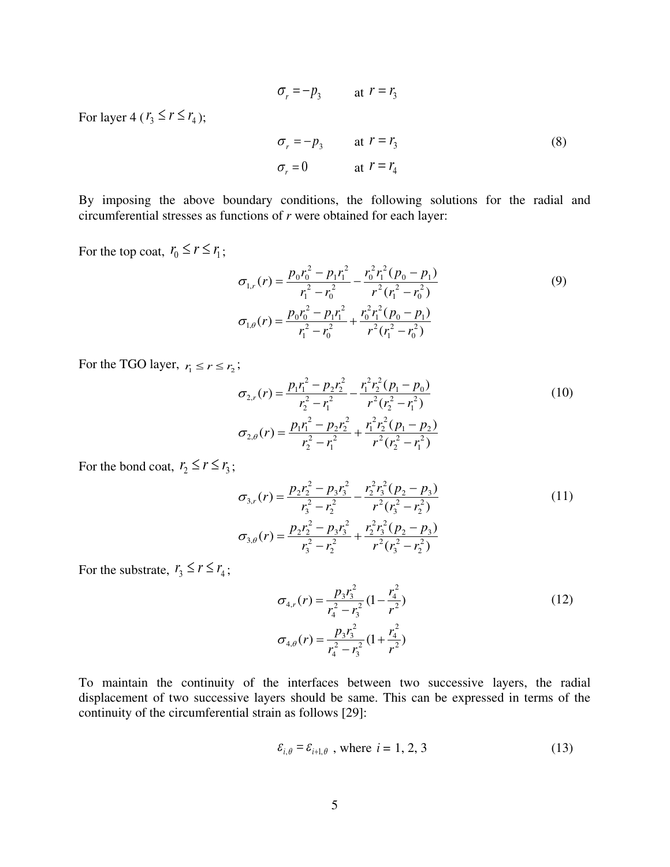$$
\sigma_r = -p_3 \qquad \text{at } r = r_3
$$
  
\n
$$
\sigma_r = -p_3 \qquad \text{at } r = r_3
$$
  
\n
$$
\sigma_r = 0 \qquad \text{at } r = r_4
$$
 (8)

By imposing the above boundary conditions, the following solutions for the radial and circumferential stresses as functions of *r* were obtained for each layer:

For the top coat,  $r_0 \le r \le r_1$ ;

For layer 4 ( $r_3 \le r \le r_4$ );

$$
\sigma_{1,r}(r) = \frac{p_0 r_0^2 - p_1 r_1^2}{r_1^2 - r_0^2} - \frac{r_0^2 r_1^2 (p_0 - p_1)}{r^2 (r_1^2 - r_0^2)}
$$
(9)  

$$
\sigma_{1,\theta}(r) = \frac{p_0 r_0^2 - p_1 r_1^2}{r_1^2 - r_0^2} + \frac{r_0^2 r_1^2 (p_0 - p_1)}{r^2 (r_1^2 - r_0^2)}
$$

For the TGO layer,  $r_1 \le r \le r_2$ ;

$$
\sigma_{2,r}(r) = \frac{p_1 r_1^2 - p_2 r_2^2}{r_2^2 - r_1^2} - \frac{r_1^2 r_2^2 (p_1 - p_0)}{r^2 (r_2^2 - r_1^2)}
$$
\n
$$
\sigma_{2,\theta}(r) = \frac{p_1 r_1^2 - p_2 r_2^2}{r_2^2 - r_1^2} + \frac{r_1^2 r_2^2 (p_1 - p_2)}{r^2 (r_2^2 - r_1^2)}
$$
\n(10)

For the bond coat,  $r_2 \le r \le r_3$ ;

$$
\sigma_{3,r}(r) = \frac{p_2 r_2^2 - p_3 r_3^2}{r_3^2 - r_2^2} - \frac{r_2^2 r_3^2 (p_2 - p_3)}{r^2 (r_3^2 - r_2^2)}
$$
\n
$$
\sigma_{3,\theta}(r) = \frac{p_2 r_2^2 - p_3 r_3^2}{r_3^2 - r_2^2} + \frac{r_2^2 r_3^2 (p_2 - p_3)}{r^2 (r_3^2 - r_2^2)}
$$
\n(11)

For the substrate,  $r_3 \le r \le r_4$ ;

$$
\sigma_{4,r}(r) = \frac{p_3 r_3^2}{r_4^2 - r_3^2} (1 - \frac{r_4^2}{r^2})
$$
\n
$$
\sigma_{4,\theta}(r) = \frac{p_3 r_3^2}{r_4^2 - r_3^2} (1 + \frac{r_4^2}{r^2})
$$
\n(12)

To maintain the continuity of the interfaces between two successive layers, the radial displacement of two successive layers should be same. This can be expressed in terms of the continuity of the circumferential strain as follows [29]:

$$
\varepsilon_{i,\theta} = \varepsilon_{i+1,\theta} \text{ , where } i = 1, 2, 3 \tag{13}
$$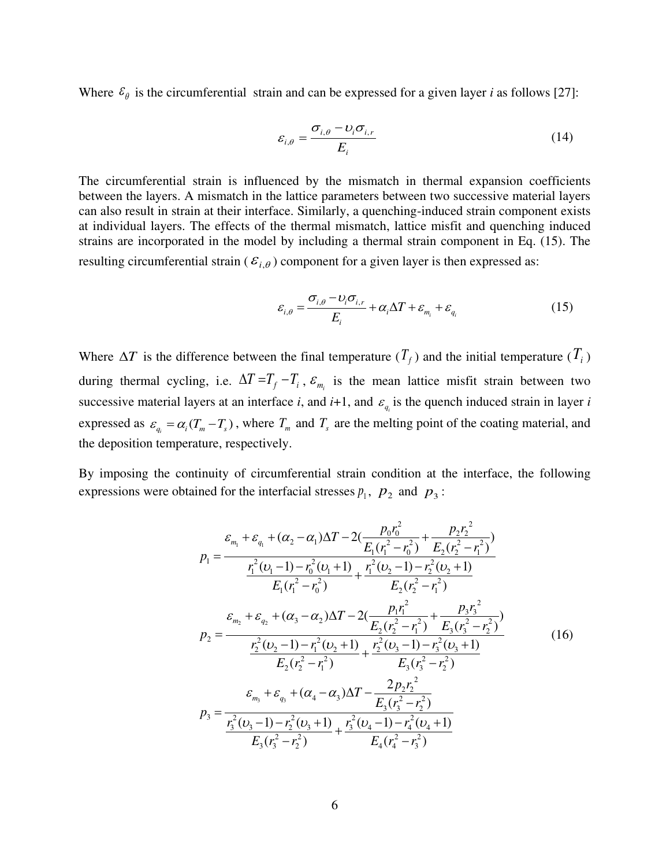Where  $\varepsilon_{\theta}$  is the circumferential strain and can be expressed for a given layer *i* as follows [27]:

$$
\varepsilon_{i,\theta} = \frac{\sigma_{i,\theta} - \upsilon_i \sigma_{i,r}}{E_i} \tag{14}
$$

The circumferential strain is influenced by the mismatch in thermal expansion coefficients between the layers. A mismatch in the lattice parameters between two successive material layers can also result in strain at their interface. Similarly, a quenching-induced strain component exists at individual layers. The effects of the thermal mismatch, lattice misfit and quenching induced strains are incorporated in the model by including a thermal strain component in Eq. (15). The resulting circumferential strain ( $\varepsilon_{i,\theta}$ ) component for a given layer is then expressed as:

$$
\varepsilon_{i,\theta} = \frac{\sigma_{i,\theta} - v_i \sigma_{i,r}}{E_i} + \alpha_i \Delta T + \varepsilon_{m_i} + \varepsilon_{q_i}
$$
(15)

Where  $\Delta T$  is the difference between the final temperature  $(T_f)$  and the initial temperature  $(T_i)$ during thermal cycling, i.e.  $\Delta T = T_f - T_i$ ,  $\varepsilon_{m_i}$  is the mean lattice misfit strain between two successive material layers at an interface *i*, and  $i+1$ , and  $\varepsilon_{q_i}$  is the quench induced strain in layer *i* expressed as  $\varepsilon_{q_i} = \alpha_i (T_m - T_s)$ , where  $T_m$  and  $T_s$  are the melting point of the coating material, and the deposition temperature, respectively.

By imposing the continuity of circumferential strain condition at the interface, the following expressions were obtained for the interfacial stresses  $p_1$ ,  $p_2$  and  $p_3$ :

$$
p_{1} = \frac{\varepsilon_{m_{1}} + \varepsilon_{q_{1}} + (\alpha_{2} - \alpha_{1})\Delta T - 2(\frac{p_{0}r_{0}^{2}}{E_{1}(r_{1}^{2} - r_{0}^{2})} + \frac{p_{2}r_{2}^{2}}{E_{2}(r_{2}^{2} - r_{1}^{2})})}{E_{1}(r_{1}^{2} - 1) - r_{0}^{2}(U_{1} + 1)} + \frac{r_{1}^{2}(U_{2} - 1) - r_{2}^{2}(U_{2} + 1)}{E_{2}(r_{2}^{2} - r_{1}^{2})}
$$
  
\n
$$
p_{2} = \frac{\varepsilon_{m_{2}} + \varepsilon_{q_{2}} + (\alpha_{3} - \alpha_{2})\Delta T - 2(\frac{p_{1}r_{1}^{2}}{E_{2}(r_{2}^{2} - r_{1}^{2})} + \frac{p_{3}r_{3}^{2}}{E_{3}(r_{3}^{2} - r_{2}^{2})})}{F_{2}(v_{2} - 1) - r_{1}^{2}(U_{2} + 1)} + \frac{r_{2}^{2}(U_{3} - 1) - r_{3}^{2}(U_{3} + 1)}{E_{3}(r_{3}^{2} - r_{2}^{2})}
$$
(16)  
\n
$$
p_{3} = \frac{\varepsilon_{m_{3}} + \varepsilon_{q_{3}} + (\alpha_{4} - \alpha_{3})\Delta T - \frac{2p_{2}r_{2}^{2}}{E_{3}(r_{3}^{2} - r_{2}^{2})}}{E_{3}(r_{3}^{2} - r_{2}^{2})}
$$
  
\n
$$
p_{4} = \frac{\varepsilon_{m_{4}} + \varepsilon_{q_{4}} + (\alpha_{4} - \alpha_{3})\Delta T - \frac{2p_{2}r_{2}^{2}}{E_{3}(r_{3}^{2} - r_{2}^{2})}}{E_{3}(r_{3}^{2} - r_{2}^{2})}
$$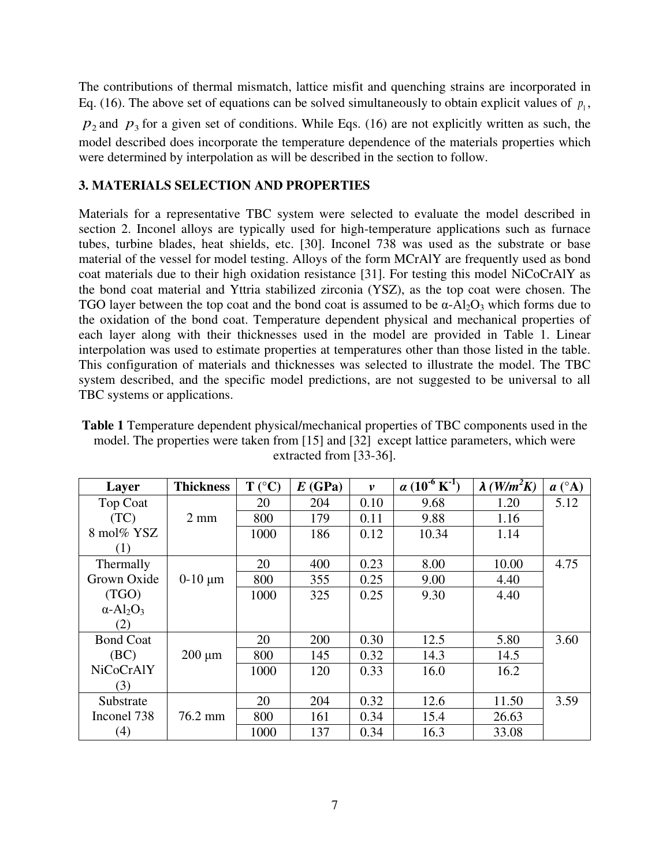The contributions of thermal mismatch, lattice misfit and quenching strains are incorporated in Eq. (16). The above set of equations can be solved simultaneously to obtain explicit values of  $p_1$ ,

 $p_2$  and  $p_3$  for a given set of conditions. While Eqs. (16) are not explicitly written as such, the model described does incorporate the temperature dependence of the materials properties which were determined by interpolation as will be described in the section to follow.

### **3. MATERIALS SELECTION AND PROPERTIES**

Materials for a representative TBC system were selected to evaluate the model described in section 2. Inconel alloys are typically used for high-temperature applications such as furnace tubes, turbine blades, heat shields, etc. [30]. Inconel 738 was used as the substrate or base material of the vessel for model testing. Alloys of the form MCrAlY are frequently used as bond coat materials due to their high oxidation resistance [31]. For testing this model NiCoCrAlY as the bond coat material and Yttria stabilized zirconia (YSZ), as the top coat were chosen. The TGO layer between the top coat and the bond coat is assumed to be  $\alpha$ -Al<sub>2</sub>O<sub>3</sub> which forms due to the oxidation of the bond coat. Temperature dependent physical and mechanical properties of each layer along with their thicknesses used in the model are provided in Table 1. Linear interpolation was used to estimate properties at temperatures other than those listed in the table. This configuration of materials and thicknesses was selected to illustrate the model. The TBC system described, and the specific model predictions, are not suggested to be universal to all TBC systems or applications.

**Table 1** Temperature dependent physical/mechanical properties of TBC components used in the model. The properties were taken from [15] and [32] except lattice parameters, which were extracted from [33-36].

| Layer                                    | <b>Thickness</b> | $T (^{\circ}C)$ | E(GPa) | $\boldsymbol{v}$ | $\alpha$ (10 <sup>-6</sup> K <sup>-1</sup> ) | $\lambda$ (W/m <sup>2</sup> K) | $a(^{\circ}A)$ |
|------------------------------------------|------------------|-----------------|--------|------------------|----------------------------------------------|--------------------------------|----------------|
| <b>Top Coat</b>                          |                  | 20              | 204    | 0.10             | 9.68                                         | 1.20                           | 5.12           |
| (TC)                                     | $2 \text{ mm}$   | 800             | 179    | 0.11             | 9.88                                         | 1.16                           |                |
| 8 mol% YSZ                               |                  | 1000            | 186    | 0.12             | 10.34                                        | 1.14                           |                |
| (1)                                      |                  |                 |        |                  |                                              |                                |                |
| Thermally                                |                  | 20              | 400    | 0.23             | 8.00                                         | 10.00                          | 4.75           |
| Grown Oxide                              | $0-10 \mu m$     | 800             | 355    | 0.25             | 9.00                                         | 4.40                           |                |
| (TGO)                                    |                  | 1000            | 325    | 0.25             | 9.30                                         | 4.40                           |                |
| $\alpha$ -Al <sub>2</sub> O <sub>3</sub> |                  |                 |        |                  |                                              |                                |                |
| (2)                                      |                  |                 |        |                  |                                              |                                |                |
| <b>Bond Coat</b>                         |                  | 20              | 200    | 0.30             | 12.5                                         | 5.80                           | 3.60           |
| (BC)                                     | $200 \mu m$      | 800             | 145    | 0.32             | 14.3                                         | 14.5                           |                |
| <b>NiCoCrAlY</b>                         |                  | 1000            | 120    | 0.33             | 16.0                                         | 16.2                           |                |
| (3)                                      |                  |                 |        |                  |                                              |                                |                |
| Substrate                                |                  | 20              | 204    | 0.32             | 12.6                                         | 11.50                          | 3.59           |
| Inconel 738                              | 76.2 mm          | 800             | 161    | 0.34             | 15.4                                         | 26.63                          |                |
| (4)                                      |                  | 1000            | 137    | 0.34             | 16.3                                         | 33.08                          |                |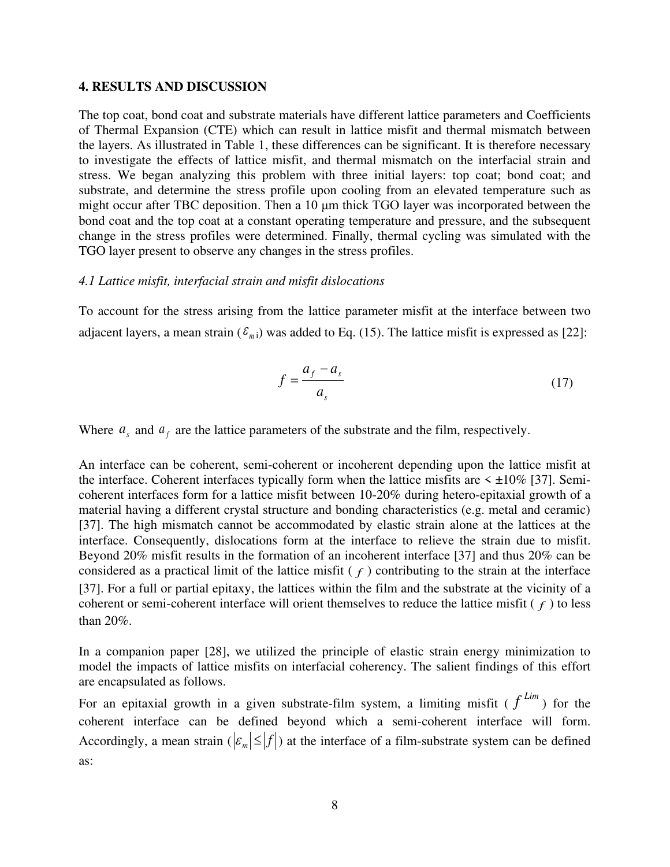#### **4. RESULTS AND DISCUSSION**

The top coat, bond coat and substrate materials have different lattice parameters and Coefficients of Thermal Expansion (CTE) which can result in lattice misfit and thermal mismatch between the layers. As illustrated in Table 1, these differences can be significant. It is therefore necessary to investigate the effects of lattice misfit, and thermal mismatch on the interfacial strain and stress. We began analyzing this problem with three initial layers: top coat; bond coat; and substrate, and determine the stress profile upon cooling from an elevated temperature such as might occur after TBC deposition. Then a 10 μm thick TGO layer was incorporated between the bond coat and the top coat at a constant operating temperature and pressure, and the subsequent change in the stress profiles were determined. Finally, thermal cycling was simulated with the TGO layer present to observe any changes in the stress profiles.

#### *4.1 Lattice misfit, interfacial strain and misfit dislocations*

To account for the stress arising from the lattice parameter misfit at the interface between two adjacent layers, a mean strain  $(\mathcal{E}_{m})$  was added to Eq. (15). The lattice misfit is expressed as [22]:

$$
f = \frac{a_f - a_s}{a_s} \tag{17}
$$

Where  $a_s$  and  $a_f$  are the lattice parameters of the substrate and the film, respectively.

An interface can be coherent, semi-coherent or incoherent depending upon the lattice misfit at the interface. Coherent interfaces typically form when the lattice misfits are  $\leq \pm 10\%$  [37]. Semicoherent interfaces form for a lattice misfit between 10-20% during hetero-epitaxial growth of a material having a different crystal structure and bonding characteristics (e.g. metal and ceramic) [37]. The high mismatch cannot be accommodated by elastic strain alone at the lattices at the interface. Consequently, dislocations form at the interface to relieve the strain due to misfit. Beyond 20% misfit results in the formation of an incoherent interface [37] and thus 20% can be considered as a practical limit of the lattice misfit  $(f)$  contributing to the strain at the interface [37]. For a full or partial epitaxy, the lattices within the film and the substrate at the vicinity of a coherent or semi-coherent interface will orient themselves to reduce the lattice misfit ( *f* ) to less than 20%.

In a companion paper [28], we utilized the principle of elastic strain energy minimization to model the impacts of lattice misfits on interfacial coherency. The salient findings of this effort are encapsulated as follows.

For an epitaxial growth in a given substrate-film system, a limiting misfit ( $f^{Lim}$ ) for the coherent interface can be defined beyond which a semi-coherent interface will form. Accordingly, a mean strain  $(|\mathcal{E}_m| \leq |f|)$  at the interface of a film-substrate system can be defined as: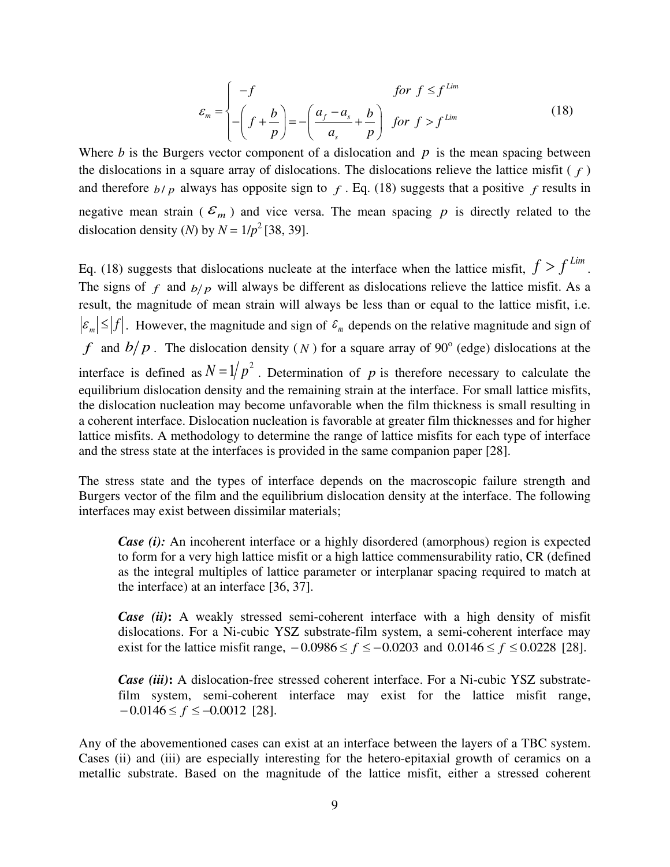$$
\varepsilon_m = \begin{cases}\n-f & \text{for } f \le f^{\text{Lim}} \\
-\left(f + \frac{b}{p}\right) = -\left(\frac{a_f - a_s}{a_s} + \frac{b}{p}\right) & \text{for } f > f^{\text{Lim}}\n\end{cases} \tag{18}
$$

Where  $b$  is the Burgers vector component of a dislocation and  $p$  is the mean spacing between the dislocations in a square array of dislocations. The dislocations relieve the lattice misfit  $(f)$ and therefore  $b/p$  always has opposite sign to  $f$ . Eq. (18) suggests that a positive  $f$  results in negative mean strain ( $\mathcal{E}_m$ ) and vice versa. The mean spacing p is directly related to the dislocation density (*N*) by  $N = 1/p^2$  [38, 39].

Eq. (18) suggests that dislocations nucleate at the interface when the lattice misfit,  $f > f^{lim}$ . The signs of  $f$  and  $b/p$  will always be different as dislocations relieve the lattice misfit. As a result, the magnitude of mean strain will always be less than or equal to the lattice misfit, i.e.  $\vert \mathcal{E}_m \vert \leq \vert f \vert$ . However, the magnitude and sign of  $\mathcal{E}_m$  depends on the relative magnitude and sign of *f* and  $b/p$ . The dislocation density (*N*) for a square array of 90 $^{\circ}$  (edge) dislocations at the interface is defined as  $N = 1/p^2$ . Determination of p is therefore necessary to calculate the equilibrium dislocation density and the remaining strain at the interface. For small lattice misfits, the dislocation nucleation may become unfavorable when the film thickness is small resulting in a coherent interface. Dislocation nucleation is favorable at greater film thicknesses and for higher lattice misfits. A methodology to determine the range of lattice misfits for each type of interface and the stress state at the interfaces is provided in the same companion paper [28].

The stress state and the types of interface depends on the macroscopic failure strength and Burgers vector of the film and the equilibrium dislocation density at the interface. The following interfaces may exist between dissimilar materials;

*Case (i)*: An incoherent interface or a highly disordered (amorphous) region is expected to form for a very high lattice misfit or a high lattice commensurability ratio, CR (defined as the integral multiples of lattice parameter or interplanar spacing required to match at the interface) at an interface [36, 37].

*Case (ii)***:** A weakly stressed semi-coherent interface with a high density of misfit dislocations. For a Ni-cubic YSZ substrate-film system, a semi-coherent interface may exist for the lattice misfit range,  $-0.0986 \le f \le -0.0203$  and  $0.0146 \le f \le 0.0228$  [28].

*Case (iii)***:** A dislocation-free stressed coherent interface. For a Ni-cubic YSZ substratefilm system, semi-coherent interface may exist for the lattice misfit range,  $-0.0146 \le f \le -0.0012$  [28].

Any of the abovementioned cases can exist at an interface between the layers of a TBC system. Cases (ii) and (iii) are especially interesting for the hetero-epitaxial growth of ceramics on a metallic substrate. Based on the magnitude of the lattice misfit, either a stressed coherent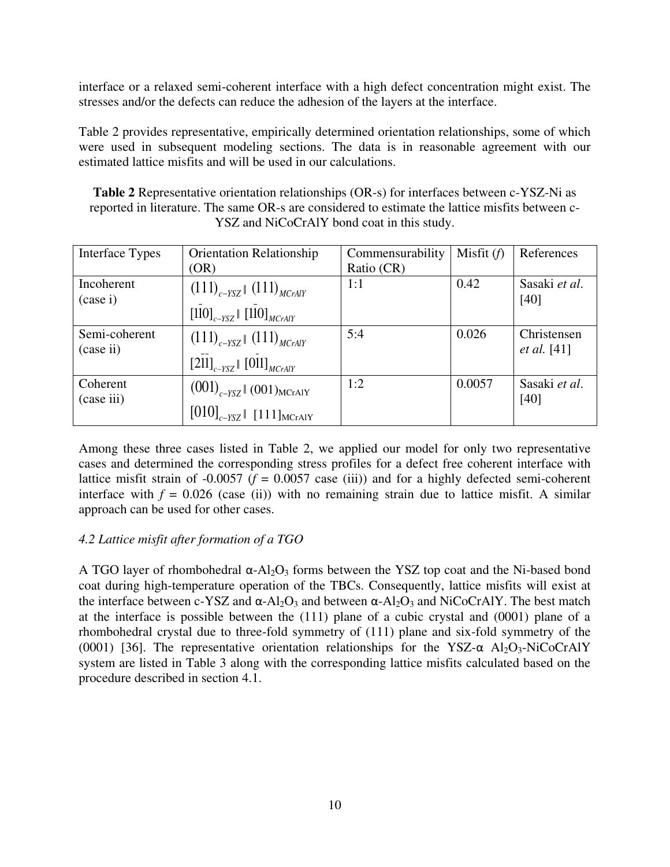interface or a relaxed semi-coherent interface with a high defect concentration might exist. The stresses and/or the defects can reduce the adhesion of the layers at the interface.

Table 2 provides representative, empirically determined orientation relationships, some of which were used in subsequent modeling sections. The data is in reasonable agreement with our estimated lattice misfits and will be used in our calculations.

**Table 2** Representative orientation relationships (OR-s) for interfaces between c-YSZ-Ni as reported in literature. The same OR-s are considered to estimate the lattice misfits between c-YSZ and NiCoCrAlY bond coat in this study.

| Interface Types            | <b>Orientation Relationship</b><br>(OR)                                            | Commensurability<br>Ratio (CR) | Misfit $(f)$ | References                        |
|----------------------------|------------------------------------------------------------------------------------|--------------------------------|--------------|-----------------------------------|
| Incoherent<br>(case i)     | $(111)_{c-YSZ}$ $(111)_{MCrAlY}$<br>$[110]_{c-YSZ}$ $[110]_{MCrAlY}$               | 1:1                            | 0.42         | Sasaki et al.<br>[40]             |
| Semi-coherent<br>(case ii) | $(111)_{c-YSZ}$ $(111)_{MCrAlY}$<br>$[211]_{c-YSZ}$ [011] $_{MCrAlY}$              | 5:4                            | 0.026        | Christensen<br><i>et al.</i> [41] |
| Coherent<br>(case iii)     | $(001)_{c-YSZ}$ (001) <sub>MCrAIY</sub><br>$[010]_{c-YSZ}$ [111] <sub>MCrAIY</sub> | 1:2                            | 0.0057       | Sasaki et al.<br>[40]             |

Among these three cases listed in Table 2, we applied our model for only two representative cases and determined the corresponding stress profiles for a defect free coherent interface with lattice misfit strain of  $-0.0057$  ( $f = 0.0057$  case (iii)) and for a highly defected semi-coherent interface with  $f = 0.026$  (case (ii)) with no remaining strain due to lattice misfit. A similar approach can be used for other cases.

# *4.2 Lattice misfit after formation of a TGO*

A TGO layer of rhombohedral  $\alpha$ -Al<sub>2</sub>O<sub>3</sub> forms between the YSZ top coat and the Ni-based bond coat during high-temperature operation of the TBCs. Consequently, lattice misfits will exist at the interface between c-YSZ and  $\alpha$ -Al<sub>2</sub>O<sub>3</sub> and between  $\alpha$ -Al<sub>2</sub>O<sub>3</sub> and NiCoCrAlY. The best match at the interface is possible between the (111) plane of a cubic crystal and (0001) plane of a rhombohedral crystal due to three-fold symmetry of (111) plane and six-fold symmetry of the (0001) [36]. The representative orientation relationships for the YSZ- $\alpha$  Al<sub>2</sub>O<sub>3</sub>-NiCoCrAlY system are listed in Table 3 along with the corresponding lattice misfits calculated based on the procedure described in section 4.1.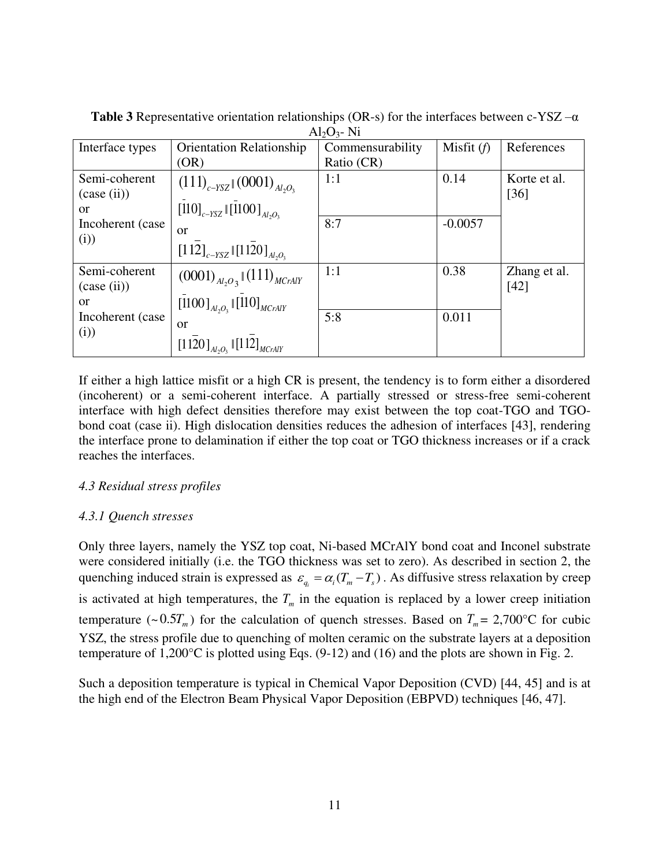| References   |
|--------------|
|              |
| Korte et al. |
| $[36]$       |
|              |
|              |
|              |
|              |
| Zhang et al. |
| [42]         |
|              |
|              |
|              |
|              |
|              |

**Table 3** Representative orientation relationships (OR-s) for the interfaces between c-YSZ  $-\alpha$  $\Delta$ l<sub>2</sub> $\Omega$ <sub>2</sub>- Ni

If either a high lattice misfit or a high CR is present, the tendency is to form either a disordered (incoherent) or a semi-coherent interface. A partially stressed or stress-free semi-coherent interface with high defect densities therefore may exist between the top coat-TGO and TGObond coat (case ii). High dislocation densities reduces the adhesion of interfaces [43], rendering the interface prone to delamination if either the top coat or TGO thickness increases or if a crack reaches the interfaces.

## *4.3 Residual stress profiles*

## *4.3.1 Quench stresses*

Only three layers, namely the YSZ top coat, Ni-based MCrAlY bond coat and Inconel substrate were considered initially (i.e. the TGO thickness was set to zero). As described in section 2, the quenching induced strain is expressed as  $\varepsilon_{q_i} = \alpha_i (T_m - T_s)$ . As diffusive stress relaxation by creep is activated at high temperatures, the  $T_m$  in the equation is replaced by a lower creep initiation temperature (~ $0.5T_m$ ) for the calculation of quench stresses. Based on  $T_m = 2,700$ °C for cubic YSZ, the stress profile due to quenching of molten ceramic on the substrate layers at a deposition temperature of 1,200°C is plotted using Eqs. (9-12) and (16) and the plots are shown in Fig. 2.

Such a deposition temperature is typical in Chemical Vapor Deposition (CVD) [44, 45] and is at the high end of the Electron Beam Physical Vapor Deposition (EBPVD) techniques [46, 47].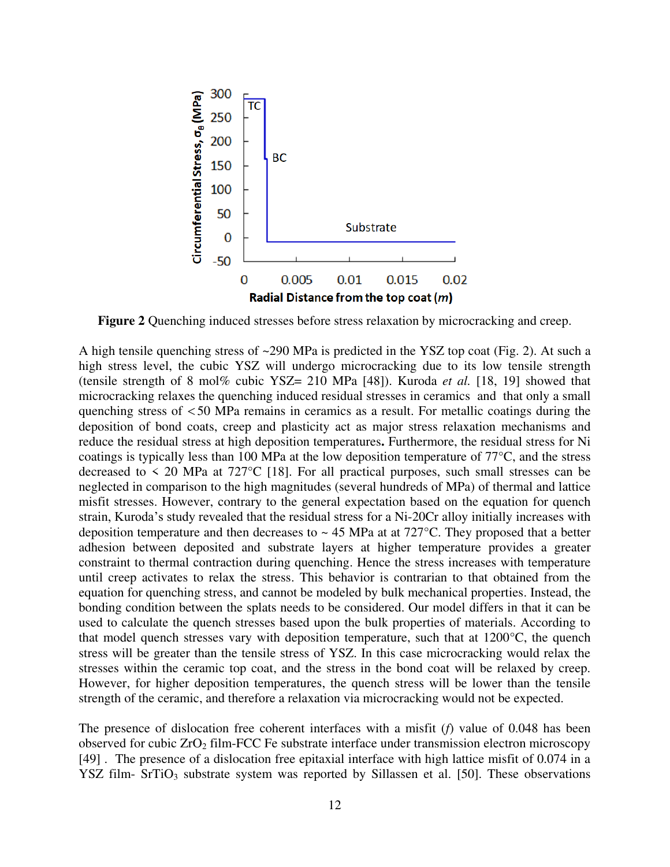

**Figure 2** Quenching induced stresses before stress relaxation by microcracking and creep.

A high tensile quenching stress of ~290 MPa is predicted in the YSZ top coat (Fig. 2). At such a high stress level, the cubic YSZ will undergo microcracking due to its low tensile strength (tensile strength of 8 mol% cubic YSZ= 210 MPa [48]). Kuroda *et al.* [18, 19] showed that microcracking relaxes the quenching induced residual stresses in ceramics and that only a small quenching stress of  $<$  50 MPa remains in ceramics as a result. For metallic coatings during the deposition of bond coats, creep and plasticity act as major stress relaxation mechanisms and reduce the residual stress at high deposition temperatures**.** Furthermore, the residual stress for Ni coatings is typically less than 100 MPa at the low deposition temperature of 77°C, and the stress decreased to  $\leq$  20 MPa at 727<sup>o</sup>C [18]. For all practical purposes, such small stresses can be neglected in comparison to the high magnitudes (several hundreds of MPa) of thermal and lattice misfit stresses. However, contrary to the general expectation based on the equation for quench strain, Kuroda's study revealed that the residual stress for a Ni-20Cr alloy initially increases with deposition temperature and then decreases to  $\sim$  45 MPa at at 727°C. They proposed that a better adhesion between deposited and substrate layers at higher temperature provides a greater constraint to thermal contraction during quenching. Hence the stress increases with temperature until creep activates to relax the stress. This behavior is contrarian to that obtained from the equation for quenching stress, and cannot be modeled by bulk mechanical properties. Instead, the bonding condition between the splats needs to be considered. Our model differs in that it can be used to calculate the quench stresses based upon the bulk properties of materials. According to that model quench stresses vary with deposition temperature, such that at 1200°C, the quench stress will be greater than the tensile stress of YSZ. In this case microcracking would relax the stresses within the ceramic top coat, and the stress in the bond coat will be relaxed by creep. However, for higher deposition temperatures, the quench stress will be lower than the tensile strength of the ceramic, and therefore a relaxation via microcracking would not be expected.

The presence of dislocation free coherent interfaces with a misfit (*f*) value of 0.048 has been observed for cubic  $ZrO<sub>2</sub>$  film-FCC Fe substrate interface under transmission electron microscopy [49] . The presence of a dislocation free epitaxial interface with high lattice misfit of 0.074 in a YSZ film- SrTiO<sub>3</sub> substrate system was reported by Sillassen et al. [50]. These observations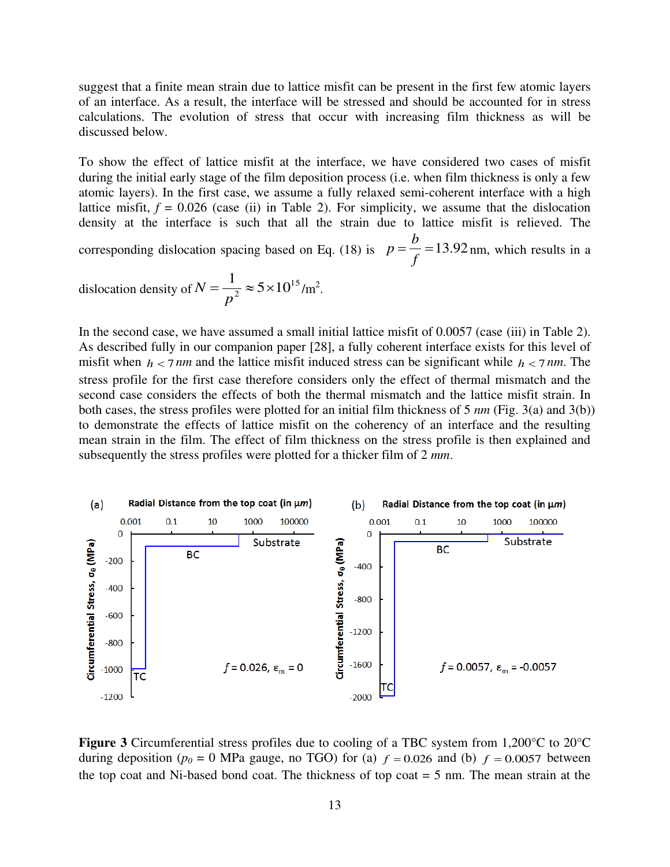suggest that a finite mean strain due to lattice misfit can be present in the first few atomic layers of an interface. As a result, the interface will be stressed and should be accounted for in stress calculations. The evolution of stress that occur with increasing film thickness as will be discussed below.

To show the effect of lattice misfit at the interface, we have considered two cases of misfit during the initial early stage of the film deposition process (i.e. when film thickness is only a few atomic layers). In the first case, we assume a fully relaxed semi-coherent interface with a high lattice misfit,  $f = 0.026$  (case (ii) in Table 2). For simplicity, we assume that the dislocation density at the interface is such that all the strain due to lattice misfit is relieved. The

corresponding dislocation spacing based on Eq. (18) is  $p = \frac{b}{c} = 13.92$ *f b*  $p = \frac{b}{c} = 13.92$  nm, which results in a

dislocation density of 
$$
N = \frac{1}{p^2} \approx 5 \times 10^{15} / \text{m}^2
$$
.

In the second case, we have assumed a small initial lattice misfit of 0.0057 (case (iii) in Table 2). As described fully in our companion paper [28], a fully coherent interface exists for this level of misfit when  $h < 7$  *nm* and the lattice misfit induced stress can be significant while  $h < 7$  *nm*. The stress profile for the first case therefore considers only the effect of thermal mismatch and the second case considers the effects of both the thermal mismatch and the lattice misfit strain. In both cases, the stress profiles were plotted for an initial film thickness of 5 *nm* (Fig. 3(a) and 3(b)) to demonstrate the effects of lattice misfit on the coherency of an interface and the resulting mean strain in the film. The effect of film thickness on the stress profile is then explained and subsequently the stress profiles were plotted for a thicker film of 2 *mm*.



**Figure 3** Circumferential stress profiles due to cooling of a TBC system from 1,200°C to 20°C during deposition ( $p_0 = 0$  MPa gauge, no TGO) for (a)  $f = 0.026$  and (b)  $f = 0.0057$  between the top coat and Ni-based bond coat. The thickness of top coat = 5 nm. The mean strain at the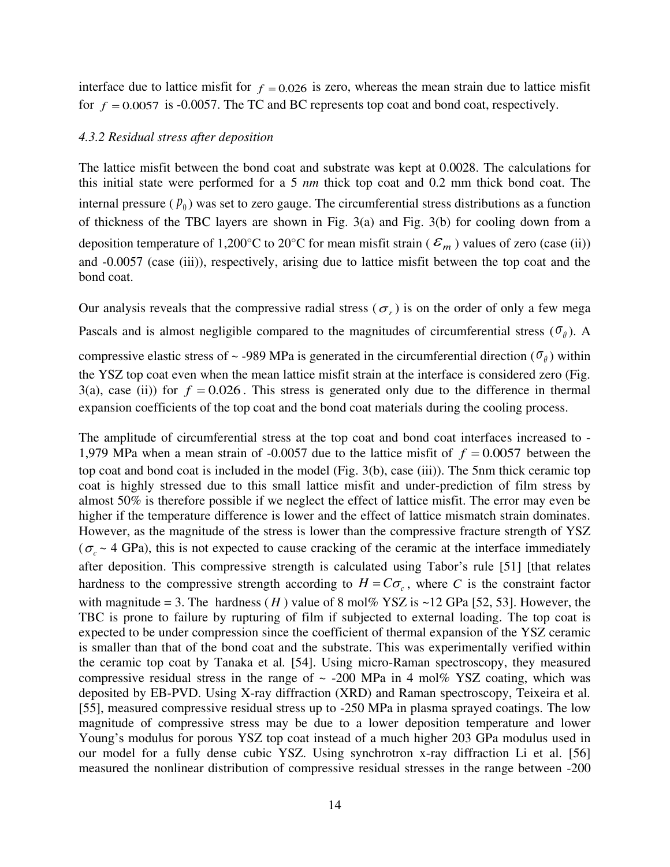interface due to lattice misfit for  $f = 0.026$  is zero, whereas the mean strain due to lattice misfit for  $f = 0.0057$  is -0.0057. The TC and BC represents top coat and bond coat, respectively.

#### *4.3.2 Residual stress after deposition*

The lattice misfit between the bond coat and substrate was kept at 0.0028. The calculations for this initial state were performed for a 5 *nm* thick top coat and 0.2 mm thick bond coat. The internal pressure  $(p_0)$  was set to zero gauge. The circumferential stress distributions as a function of thickness of the TBC layers are shown in Fig. 3(a) and Fig. 3(b) for cooling down from a deposition temperature of 1,200°C to 20°C for mean misfit strain ( $\mathcal{E}_m$ ) values of zero (case (ii)) and -0.0057 (case (iii)), respectively, arising due to lattice misfit between the top coat and the bond coat.

Our analysis reveals that the compressive radial stress ( $\sigma_r$ ) is on the order of only a few mega Pascals and is almost negligible compared to the magnitudes of circumferential stress ( $\sigma_{\theta}$ ). A compressive elastic stress of  $\sim$  -989 MPa is generated in the circumferential direction ( $\sigma_{\theta}$ ) within the YSZ top coat even when the mean lattice misfit strain at the interface is considered zero (Fig. 3(a), case (ii)) for  $f = 0.026$ . This stress is generated only due to the difference in thermal expansion coefficients of the top coat and the bond coat materials during the cooling process.

The amplitude of circumferential stress at the top coat and bond coat interfaces increased to - 1,979 MPa when a mean strain of -0.0057 due to the lattice misfit of  $f = 0.0057$  between the top coat and bond coat is included in the model (Fig. 3(b), case (iii)). The 5nm thick ceramic top coat is highly stressed due to this small lattice misfit and under-prediction of film stress by almost 50% is therefore possible if we neglect the effect of lattice misfit. The error may even be higher if the temperature difference is lower and the effect of lattice mismatch strain dominates. However, as the magnitude of the stress is lower than the compressive fracture strength of YSZ ( $\sigma_c \sim$  4 GPa), this is not expected to cause cracking of the ceramic at the interface immediately after deposition. This compressive strength is calculated using Tabor's rule [51] [that relates hardness to the compressive strength according to  $H = C\sigma_c$ , where C is the constraint factor with magnitude = 3. The hardness  $(H)$  value of 8 mol% YSZ is ~12 GPa [52, 53]. However, the TBC is prone to failure by rupturing of film if subjected to external loading. The top coat is expected to be under compression since the coefficient of thermal expansion of the YSZ ceramic is smaller than that of the bond coat and the substrate. This was experimentally verified within the ceramic top coat by Tanaka et al*.* [54]. Using micro-Raman spectroscopy, they measured compressive residual stress in the range of  $\sim$  -200 MPa in 4 mol% YSZ coating, which was deposited by EB-PVD. Using X-ray diffraction (XRD) and Raman spectroscopy, Teixeira et al*.* [55], measured compressive residual stress up to -250 MPa in plasma sprayed coatings. The low magnitude of compressive stress may be due to a lower deposition temperature and lower Young's modulus for porous YSZ top coat instead of a much higher 203 GPa modulus used in our model for a fully dense cubic YSZ. Using synchrotron x-ray diffraction Li et al. [56] measured the nonlinear distribution of compressive residual stresses in the range between -200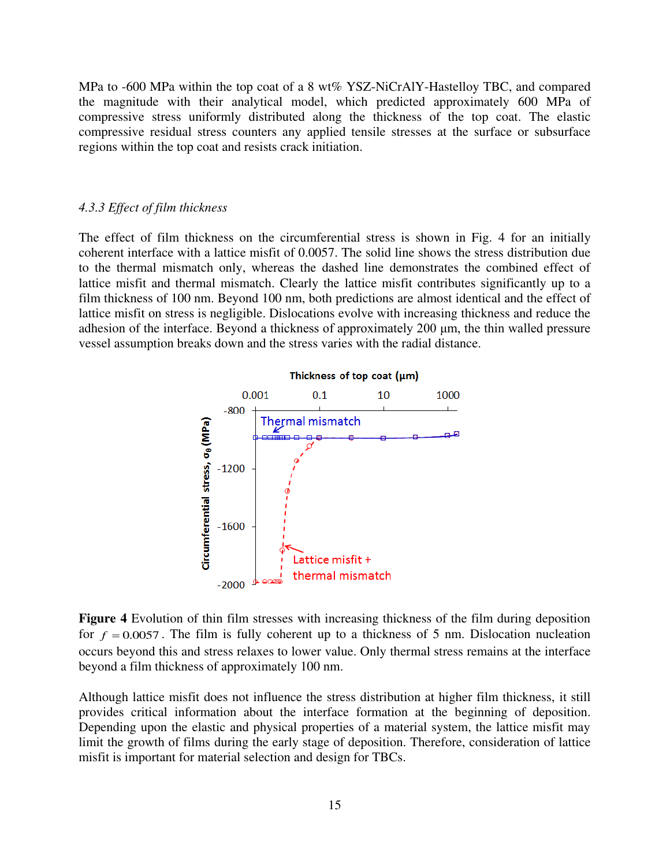MPa to -600 MPa within the top coat of a 8 wt% YSZ-NiCrAlY-Hastelloy TBC, and compared the magnitude with their analytical model, which predicted approximately 600 MPa of compressive stress uniformly distributed along the thickness of the top coat. The elastic compressive residual stress counters any applied tensile stresses at the surface or subsurface regions within the top coat and resists crack initiation.

#### *4.3.3 Effect of film thickness*

The effect of film thickness on the circumferential stress is shown in Fig. 4 for an initially coherent interface with a lattice misfit of 0.0057. The solid line shows the stress distribution due to the thermal mismatch only, whereas the dashed line demonstrates the combined effect of lattice misfit and thermal mismatch. Clearly the lattice misfit contributes significantly up to a film thickness of 100 nm. Beyond 100 nm, both predictions are almost identical and the effect of lattice misfit on stress is negligible. Dislocations evolve with increasing thickness and reduce the adhesion of the interface. Beyond a thickness of approximately 200 μm, the thin walled pressure vessel assumption breaks down and the stress varies with the radial distance.



#### Thickness of top coat (um)

**Figure 4** Evolution of thin film stresses with increasing thickness of the film during deposition for  $f = 0.0057$ . The film is fully coherent up to a thickness of 5 nm. Dislocation nucleation occurs beyond this and stress relaxes to lower value. Only thermal stress remains at the interface beyond a film thickness of approximately 100 nm.

Although lattice misfit does not influence the stress distribution at higher film thickness, it still provides critical information about the interface formation at the beginning of deposition. Depending upon the elastic and physical properties of a material system, the lattice misfit may limit the growth of films during the early stage of deposition. Therefore, consideration of lattice misfit is important for material selection and design for TBCs.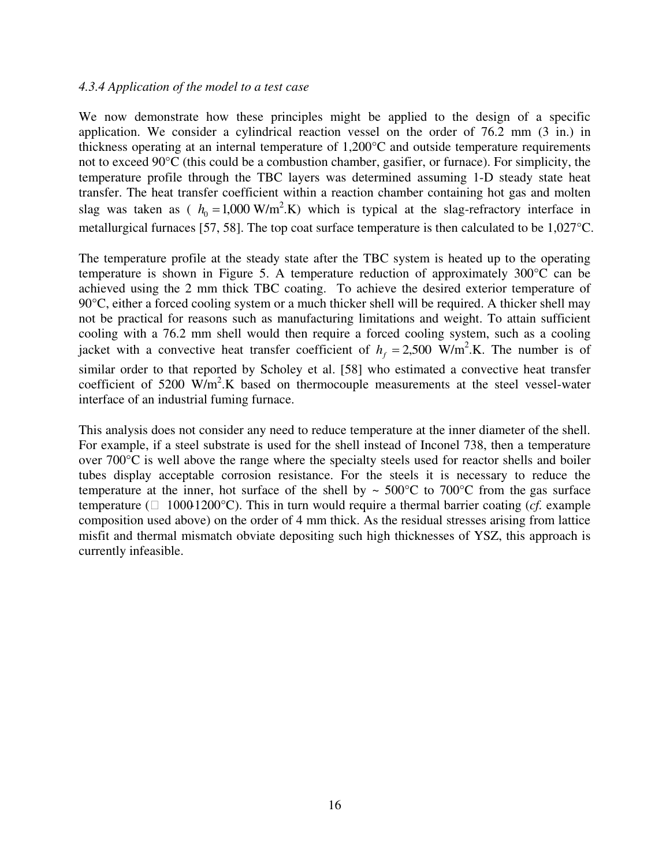#### *4.3.4 Application of the model to a test case*

We now demonstrate how these principles might be applied to the design of a specific application. We consider a cylindrical reaction vessel on the order of 76.2 mm (3 in.) in thickness operating at an internal temperature of 1,200°C and outside temperature requirements not to exceed 90°C (this could be a combustion chamber, gasifier, or furnace). For simplicity, the temperature profile through the TBC layers was determined assuming 1-D steady state heat transfer. The heat transfer coefficient within a reaction chamber containing hot gas and molten slag was taken as ( $h_0 = 1,000 \text{ W/m}^2$ .K) which is typical at the slag-refractory interface in metallurgical furnaces [57, 58]. The top coat surface temperature is then calculated to be 1,027°C.

The temperature profile at the steady state after the TBC system is heated up to the operating temperature is shown in Figure 5. A temperature reduction of approximately 300°C can be achieved using the 2 mm thick TBC coating. To achieve the desired exterior temperature of 90°C, either a forced cooling system or a much thicker shell will be required. A thicker shell may not be practical for reasons such as manufacturing limitations and weight. To attain sufficient cooling with a 76.2 mm shell would then require a forced cooling system, such as a cooling jacket with a convective heat transfer coefficient of  $h_f = 2,500 \text{ W/m}^2$ .K. The number is of similar order to that reported by Scholey et al. [58] who estimated a convective heat transfer coefficient of 5200  $W/m^2$ .K based on thermocouple measurements at the steel vessel-water interface of an industrial fuming furnace.

This analysis does not consider any need to reduce temperature at the inner diameter of the shell. For example, if a steel substrate is used for the shell instead of Inconel 738, then a temperature over  $700^{\circ}$ C is well above the range where the specialty steels used for reactor shells and boiler tubes display acceptable corrosion resistance. For the steels it is necessary to reduce the temperature at the inner, hot surface of the shell by  $\sim 500^{\circ}$ C to 700 $^{\circ}$ C from the gas surface temperature ( $\Box$  1000-1200°C). This in turn would require a thermal barrier coating (*cf.* example composition used above) on the order of 4 mm thick. As the residual stresses arising from lattice misfit and thermal mismatch obviate depositing such high thicknesses of YSZ, this approach is currently infeasible.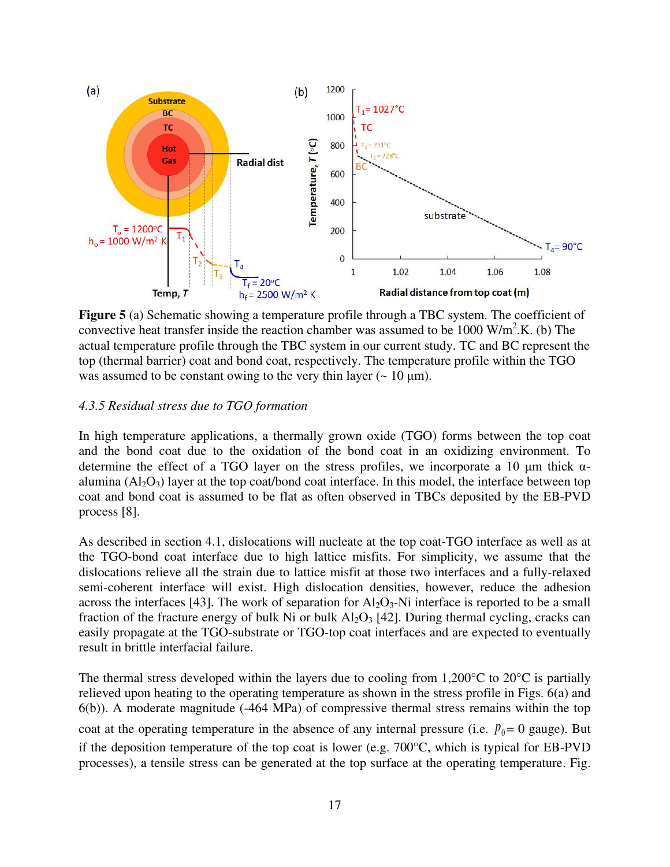

**Figure 5** (a) Schematic showing a temperature profile through a TBC system. The coefficient of convective heat transfer inside the reaction chamber was assumed to be  $1000 \text{ W/m}^2$ .K. (b) The actual temperature profile through the TBC system in our current study. TC and BC represent the top (thermal barrier) coat and bond coat, respectively. The temperature profile within the TGO was assumed to be constant owing to the very thin layer  $($   $\sim$  10  $\mu$ m).

#### *4.3.5 Residual stress due to TGO formation*

In high temperature applications, a thermally grown oxide (TGO) forms between the top coat and the bond coat due to the oxidation of the bond coat in an oxidizing environment. To determine the effect of a TGO layer on the stress profiles, we incorporate a 10  $\mu$ m thick  $\alpha$ alumina  $(A<sub>2</sub>O<sub>3</sub>)$  layer at the top coat/bond coat interface. In this model, the interface between top coat and bond coat is assumed to be flat as often observed in TBCs deposited by the EB-PVD process [8].

As described in section 4.1, dislocations will nucleate at the top coat-TGO interface as well as at the TGO-bond coat interface due to high lattice misfits. For simplicity, we assume that the dislocations relieve all the strain due to lattice misfit at those two interfaces and a fully-relaxed semi-coherent interface will exist. High dislocation densities, however, reduce the adhesion across the interfaces [43]. The work of separation for  $Al_2O_3-Ni$  interface is reported to be a small fraction of the fracture energy of bulk Ni or bulk  $Al_2O_3$  [42]. During thermal cycling, cracks can easily propagate at the TGO-substrate or TGO-top coat interfaces and are expected to eventually result in brittle interfacial failure.

The thermal stress developed within the layers due to cooling from 1,200 $^{\circ}$ C to 20 $^{\circ}$ C is partially relieved upon heating to the operating temperature as shown in the stress profile in Figs. 6(a) and 6(b)). A moderate magnitude (-464 MPa) of compressive thermal stress remains within the top coat at the operating temperature in the absence of any internal pressure (i.e.  $p_0 = 0$  gauge). But if the deposition temperature of the top coat is lower (e.g. 700°C, which is typical for EB-PVD processes), a tensile stress can be generated at the top surface at the operating temperature. Fig.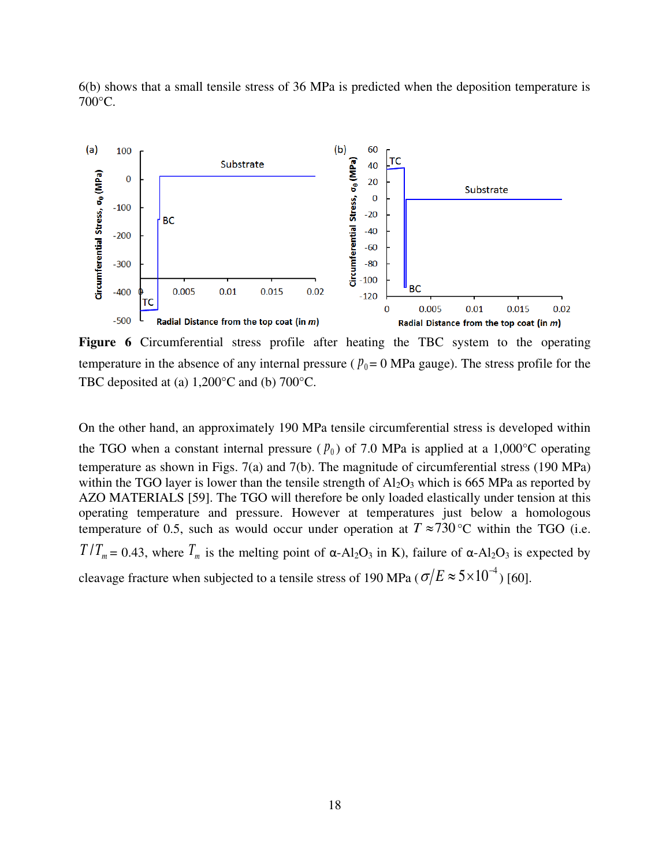6(b) shows that a small tensile stress of 36 MPa is predicted when the deposition temperature is 700°C.



**Figure 6** Circumferential stress profile after heating the TBC system to the operating temperature in the absence of any internal pressure ( $p_0 = 0$  MPa gauge). The stress profile for the TBC deposited at (a) 1,200°C and (b) 700°C.

On the other hand, an approximately 190 MPa tensile circumferential stress is developed within the TGO when a constant internal pressure ( $p_0$ ) of 7.0 MPa is applied at a 1,000°C operating temperature as shown in Figs. 7(a) and 7(b). The magnitude of circumferential stress (190 MPa) within the TGO layer is lower than the tensile strength of  $Al_2O_3$  which is 665 MPa as reported by AZO MATERIALS [59]. The TGO will therefore be only loaded elastically under tension at this operating temperature and pressure. However at temperatures just below a homologous temperature of 0.5, such as would occur under operation at  $T \approx 730$  °C within the TGO (i.e.  $T/T_m = 0.43$ , where  $T_m$  is the melting point of  $\alpha$ -Al<sub>2</sub>O<sub>3</sub> in K), failure of  $\alpha$ -Al<sub>2</sub>O<sub>3</sub> is expected by cleavage fracture when subjected to a tensile stress of 190 MPa ( $\sigma/E \approx 5 \times 10^{-4}$ ) [60].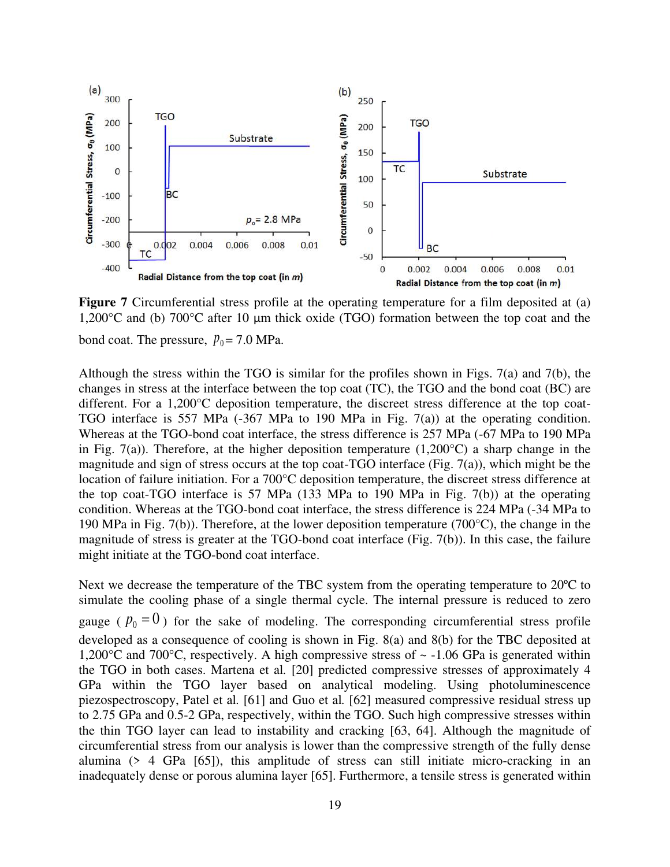

**Figure 7** Circumferential stress profile at the operating temperature for a film deposited at (a) 1,200°C and (b) 700°C after 10 μm thick oxide (TGO) formation between the top coat and the bond coat. The pressure,  $p_0 = 7.0$  MPa.

Although the stress within the TGO is similar for the profiles shown in Figs. 7(a) and 7(b), the changes in stress at the interface between the top coat (TC), the TGO and the bond coat (BC) are different. For a 1,200°C deposition temperature, the discreet stress difference at the top coat-TGO interface is 557 MPa (-367 MPa to 190 MPa in Fig. 7(a)) at the operating condition. Whereas at the TGO-bond coat interface, the stress difference is 257 MPa (-67 MPa to 190 MPa in Fig. 7(a)). Therefore, at the higher deposition temperature  $(1,200^{\circ}C)$  a sharp change in the magnitude and sign of stress occurs at the top coat-TGO interface (Fig. 7(a)), which might be the location of failure initiation. For a 700°C deposition temperature, the discreet stress difference at the top coat-TGO interface is 57 MPa (133 MPa to 190 MPa in Fig. 7(b)) at the operating condition. Whereas at the TGO-bond coat interface, the stress difference is 224 MPa (-34 MPa to 190 MPa in Fig. 7(b)). Therefore, at the lower deposition temperature (700°C), the change in the magnitude of stress is greater at the TGO-bond coat interface (Fig. 7(b)). In this case, the failure might initiate at the TGO-bond coat interface.

Next we decrease the temperature of the TBC system from the operating temperature to 20<sup>o</sup>C to simulate the cooling phase of a single thermal cycle. The internal pressure is reduced to zero

gauge ( $p_0 = 0$ ) for the sake of modeling. The corresponding circumferential stress profile developed as a consequence of cooling is shown in Fig. 8(a) and 8(b) for the TBC deposited at 1,200 $^{\circ}$ C and 700 $^{\circ}$ C, respectively. A high compressive stress of  $\sim$  -1.06 GPa is generated within the TGO in both cases. Martena et al*.* [20] predicted compressive stresses of approximately 4 GPa within the TGO layer based on analytical modeling. Using photoluminescence piezospectroscopy, Patel et al*.* [61] and Guo et al*.* [62] measured compressive residual stress up to 2.75 GPa and 0.5-2 GPa, respectively, within the TGO. Such high compressive stresses within the thin TGO layer can lead to instability and cracking [63, 64]. Although the magnitude of circumferential stress from our analysis is lower than the compressive strength of the fully dense alumina  $(> 4 \text{ GPa } [65])$ , this amplitude of stress can still initiate micro-cracking in an inadequately dense or porous alumina layer [65]. Furthermore, a tensile stress is generated within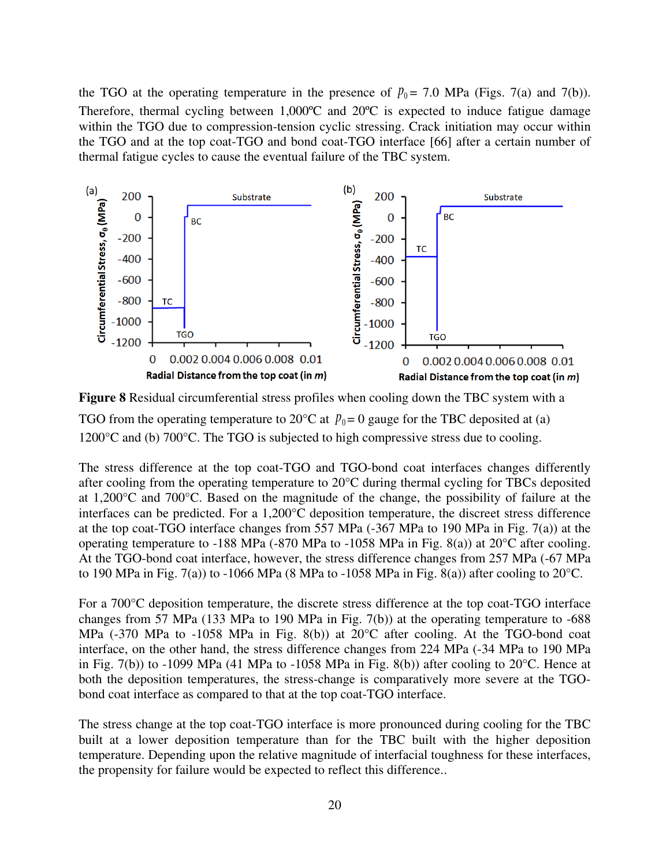the TGO at the operating temperature in the presence of  $p_0 = 7.0$  MPa (Figs. 7(a) and 7(b)). Therefore, thermal cycling between 1,000ºC and 20ºC is expected to induce fatigue damage within the TGO due to compression-tension cyclic stressing. Crack initiation may occur within the TGO and at the top coat-TGO and bond coat-TGO interface [66] after a certain number of thermal fatigue cycles to cause the eventual failure of the TBC system.



**Figure 8** Residual circumferential stress profiles when cooling down the TBC system with a TGO from the operating temperature to 20 $\degree$ C at  $p_0 = 0$  gauge for the TBC deposited at (a) 1200°C and (b) 700°C. The TGO is subjected to high compressive stress due to cooling.

The stress difference at the top coat-TGO and TGO-bond coat interfaces changes differently after cooling from the operating temperature to 20°C during thermal cycling for TBCs deposited at 1,200°C and 700°C. Based on the magnitude of the change, the possibility of failure at the interfaces can be predicted. For a 1,200°C deposition temperature, the discreet stress difference at the top coat-TGO interface changes from 557 MPa  $(-367)$  MPa to 190 MPa in Fig. 7(a)) at the operating temperature to -188 MPa (-870 MPa to -1058 MPa in Fig. 8(a)) at 20°C after cooling. At the TGO-bond coat interface, however, the stress difference changes from 257 MPa (-67 MPa to 190 MPa in Fig. 7(a)) to -1066 MPa (8 MPa to -1058 MPa in Fig. 8(a)) after cooling to 20 $^{\circ}$ C.

For a 700°C deposition temperature, the discrete stress difference at the top coat-TGO interface changes from 57 MPa (133 MPa to 190 MPa in Fig. 7(b)) at the operating temperature to -688 MPa (-370 MPa to -1058 MPa in Fig. 8(b)) at 20°C after cooling. At the TGO-bond coat interface, on the other hand, the stress difference changes from 224 MPa (-34 MPa to 190 MPa in Fig. 7(b)) to -1099 MPa (41 MPa to -1058 MPa in Fig. 8(b)) after cooling to  $20^{\circ}$ C. Hence at both the deposition temperatures, the stress-change is comparatively more severe at the TGObond coat interface as compared to that at the top coat-TGO interface.

The stress change at the top coat-TGO interface is more pronounced during cooling for the TBC built at a lower deposition temperature than for the TBC built with the higher deposition temperature. Depending upon the relative magnitude of interfacial toughness for these interfaces, the propensity for failure would be expected to reflect this difference..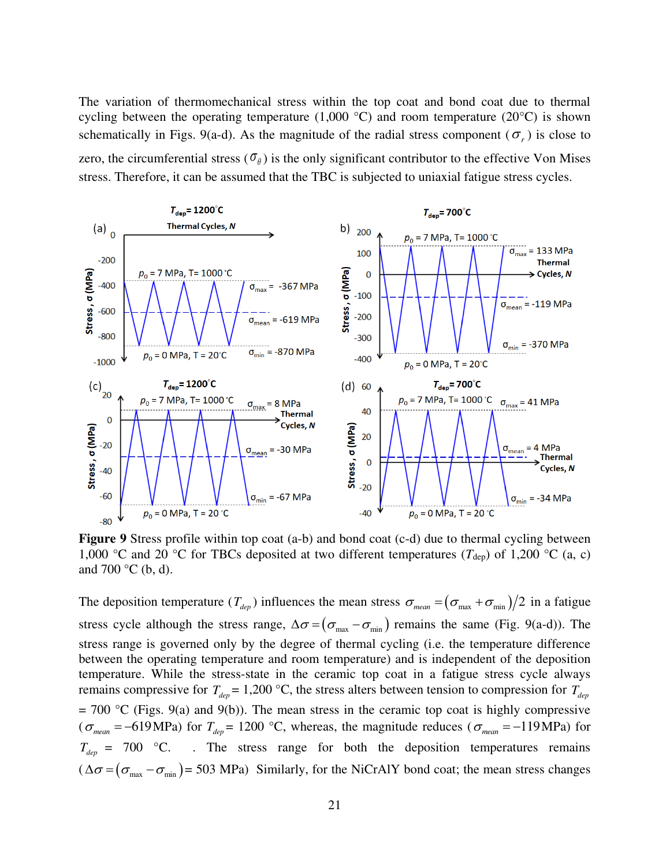The variation of thermomechanical stress within the top coat and bond coat due to thermal cycling between the operating temperature  $(1,000 \degree C)$  and room temperature  $(20\degree C)$  is shown schematically in Figs. 9(a-d). As the magnitude of the radial stress component ( $\sigma_r$ ) is close to zero, the circumferential stress  $(\sigma_{\theta})$  is the only significant contributor to the effective Von Mises stress. Therefore, it can be assumed that the TBC is subjected to uniaxial fatigue stress cycles.



**Figure 9** Stress profile within top coat (a-b) and bond coat (c-d) due to thermal cycling between 1,000 °C and 20 °C for TBCs deposited at two different temperatures ( $T_{\text{dep}}$ ) of 1,200 °C (a, c) and 700  $\rm{^{\circ}C}$  (b, d).

The deposition temperature  $(T_{dep})$  influences the mean stress  $\sigma_{mean} = (\sigma_{max} + \sigma_{min})/2$  in a fatigue stress cycle although the stress range,  $\Delta \sigma = (\sigma_{\text{max}} - \sigma_{\text{min}})$  remains the same (Fig. 9(a-d)). The stress range is governed only by the degree of thermal cycling (i.e. the temperature difference between the operating temperature and room temperature) and is independent of the deposition temperature. While the stress-state in the ceramic top coat in a fatigue stress cycle always remains compressive for  $T_{dep} = 1,200 \degree C$ , the stress alters between tension to compression for  $T_{dep}$  $= 700$  °C (Figs. 9(a) and 9(b)). The mean stress in the ceramic top coat is highly compressive ( $\sigma_{mean} = -619 \text{ MPa}$ ) for  $T_{dep} = 1200 \text{ °C}$ , whereas, the magnitude reduces ( $\sigma_{mean} = -119 \text{ MPa}$ ) for  $T_{\text{den}}$  = 700 °C. . The stress range for both the deposition temperatures remains  $(\Delta \sigma = (\sigma_{\text{max}} - \sigma_{\text{min}}) = 503 \text{ MPa})$  Similarly, for the NiCrAlY bond coat; the mean stress changes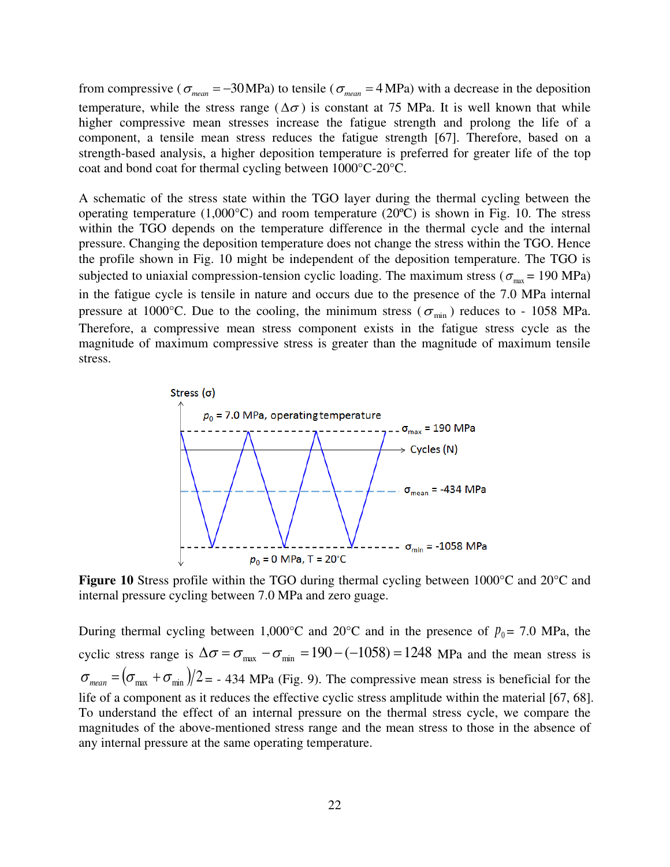from compressive ( $\sigma_{mean} = -30 \text{ MPa}$ ) to tensile ( $\sigma_{mean} = 4 \text{ MPa}$ ) with a decrease in the deposition temperature, while the stress range ( $\Delta \sigma$ ) is constant at 75 MPa. It is well known that while higher compressive mean stresses increase the fatigue strength and prolong the life of a component, a tensile mean stress reduces the fatigue strength [67]. Therefore, based on a strength-based analysis, a higher deposition temperature is preferred for greater life of the top coat and bond coat for thermal cycling between 1000°C-20°C.

A schematic of the stress state within the TGO layer during the thermal cycling between the operating temperature  $(1,000^{\circ}C)$  and room temperature  $(20^{\circ}C)$  is shown in Fig. 10. The stress within the TGO depends on the temperature difference in the thermal cycle and the internal pressure. Changing the deposition temperature does not change the stress within the TGO. Hence the profile shown in Fig. 10 might be independent of the deposition temperature. The TGO is subjected to uniaxial compression-tension cyclic loading. The maximum stress ( $\sigma_{\text{max}}$  = 190 MPa) in the fatigue cycle is tensile in nature and occurs due to the presence of the 7.0 MPa internal pressure at 1000°C. Due to the cooling, the minimum stress ( $\sigma_{\min}$ ) reduces to - 1058 MPa. Therefore, a compressive mean stress component exists in the fatigue stress cycle as the magnitude of maximum compressive stress is greater than the magnitude of maximum tensile stress.



**Figure 10** Stress profile within the TGO during thermal cycling between 1000°C and 20°C and internal pressure cycling between 7.0 MPa and zero guage.

During thermal cycling between 1,000°C and 20°C and in the presence of  $p_0 = 7.0$  MPa, the cyclic stress range is  $\Delta\sigma = \sigma_{\text{max}} - \sigma_{\text{min}} = 190 - (-1058) = 1248$  MPa and the mean stress is  $\sigma_{mean} = (\sigma_{max} + \sigma_{min})/2 = -434$  MPa (Fig. 9). The compressive mean stress is beneficial for the life of a component as it reduces the effective cyclic stress amplitude within the material [67, 68]. To understand the effect of an internal pressure on the thermal stress cycle, we compare the magnitudes of the above-mentioned stress range and the mean stress to those in the absence of any internal pressure at the same operating temperature.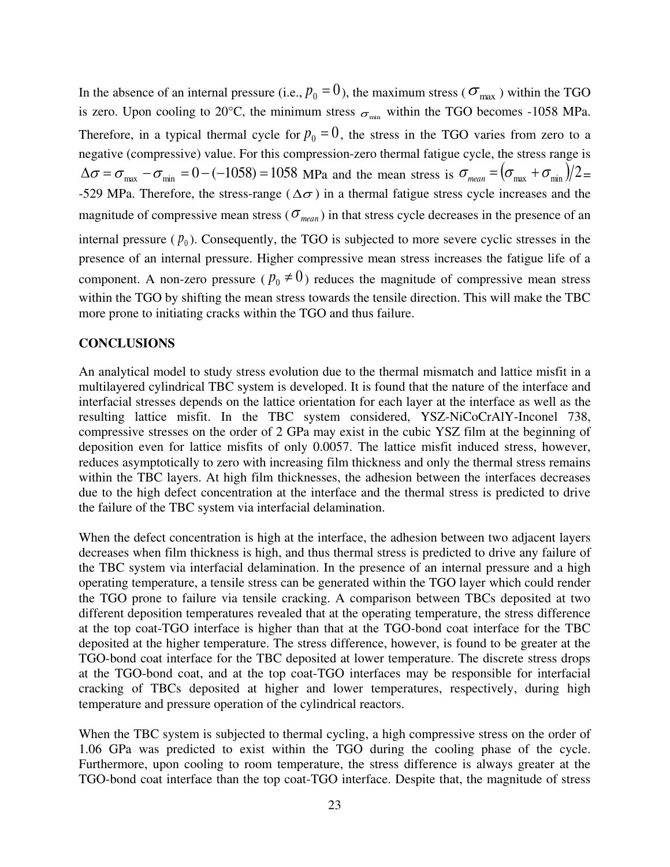In the absence of an internal pressure (i.e.,  $p_0 = 0$ ), the maximum stress ( $\sigma_{\text{max}}$ ) within the TGO is zero. Upon cooling to 20°C, the minimum stress  $\sigma_{\text{min}}$  within the TGO becomes -1058 MPa. Therefore, in a typical thermal cycle for  $p_0 = 0$ , the stress in the TGO varies from zero to a negative (compressive) value. For this compression-zero thermal fatigue cycle, the stress range is  $\Delta\sigma = \sigma_{\text{max}} - \sigma_{\text{min}} = 0 - (-1058) = 1058$  MPa and the mean stress is  $\sigma_{\text{mean}} = (\sigma_{\text{max}} + \sigma_{\text{min}})/2 =$ -529 MPa. Therefore, the stress-range ( $\Delta \sigma$ ) in a thermal fatigue stress cycle increases and the magnitude of compressive mean stress ( $\sigma_{mean}$ ) in that stress cycle decreases in the presence of an internal pressure  $(p_0)$ . Consequently, the TGO is subjected to more severe cyclic stresses in the presence of an internal pressure. Higher compressive mean stress increases the fatigue life of a component. A non-zero pressure ( $p_0 \neq 0$ ) reduces the magnitude of compressive mean stress within the TGO by shifting the mean stress towards the tensile direction. This will make the TBC more prone to initiating cracks within the TGO and thus failure.

## **CONCLUSIONS**

An analytical model to study stress evolution due to the thermal mismatch and lattice misfit in a multilayered cylindrical TBC system is developed. It is found that the nature of the interface and interfacial stresses depends on the lattice orientation for each layer at the interface as well as the resulting lattice misfit. In the TBC system considered, YSZ-NiCoCrAlY-Inconel 738, compressive stresses on the order of 2 GPa may exist in the cubic YSZ film at the beginning of deposition even for lattice misfits of only 0.0057. The lattice misfit induced stress, however, reduces asymptotically to zero with increasing film thickness and only the thermal stress remains within the TBC layers. At high film thicknesses, the adhesion between the interfaces decreases due to the high defect concentration at the interface and the thermal stress is predicted to drive the failure of the TBC system via interfacial delamination.

When the defect concentration is high at the interface, the adhesion between two adjacent layers decreases when film thickness is high, and thus thermal stress is predicted to drive any failure of the TBC system via interfacial delamination. In the presence of an internal pressure and a high operating temperature, a tensile stress can be generated within the TGO layer which could render the TGO prone to failure via tensile cracking. A comparison between TBCs deposited at two different deposition temperatures revealed that at the operating temperature, the stress difference at the top coat-TGO interface is higher than that at the TGO-bond coat interface for the TBC deposited at the higher temperature. The stress difference, however, is found to be greater at the TGO-bond coat interface for the TBC deposited at lower temperature. The discrete stress drops at the TGO-bond coat, and at the top coat-TGO interfaces may be responsible for interfacial cracking of TBCs deposited at higher and lower temperatures, respectively, during high temperature and pressure operation of the cylindrical reactors.

When the TBC system is subjected to thermal cycling, a high compressive stress on the order of 1.06 GPa was predicted to exist within the TGO during the cooling phase of the cycle. Furthermore, upon cooling to room temperature, the stress difference is always greater at the TGO-bond coat interface than the top coat-TGO interface. Despite that, the magnitude of stress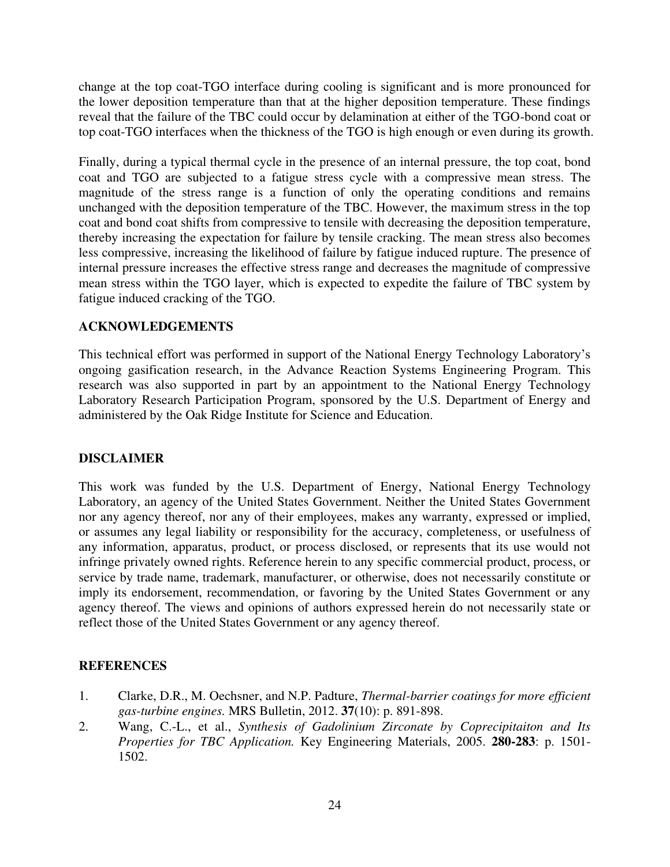change at the top coat-TGO interface during cooling is significant and is more pronounced for the lower deposition temperature than that at the higher deposition temperature. These findings reveal that the failure of the TBC could occur by delamination at either of the TGO-bond coat or top coat-TGO interfaces when the thickness of the TGO is high enough or even during its growth.

Finally, during a typical thermal cycle in the presence of an internal pressure, the top coat, bond coat and TGO are subjected to a fatigue stress cycle with a compressive mean stress. The magnitude of the stress range is a function of only the operating conditions and remains unchanged with the deposition temperature of the TBC. However, the maximum stress in the top coat and bond coat shifts from compressive to tensile with decreasing the deposition temperature, thereby increasing the expectation for failure by tensile cracking. The mean stress also becomes less compressive, increasing the likelihood of failure by fatigue induced rupture. The presence of internal pressure increases the effective stress range and decreases the magnitude of compressive mean stress within the TGO layer, which is expected to expedite the failure of TBC system by fatigue induced cracking of the TGO.

# **ACKNOWLEDGEMENTS**

This technical effort was performed in support of the National Energy Technology Laboratory's ongoing gasification research, in the Advance Reaction Systems Engineering Program. This research was also supported in part by an appointment to the National Energy Technology Laboratory Research Participation Program, sponsored by the U.S. Department of Energy and administered by the Oak Ridge Institute for Science and Education.

## **DISCLAIMER**

This work was funded by the U.S. Department of Energy, National Energy Technology Laboratory, an agency of the United States Government. Neither the United States Government nor any agency thereof, nor any of their employees, makes any warranty, expressed or implied, or assumes any legal liability or responsibility for the accuracy, completeness, or usefulness of any information, apparatus, product, or process disclosed, or represents that its use would not infringe privately owned rights. Reference herein to any specific commercial product, process, or service by trade name, trademark, manufacturer, or otherwise, does not necessarily constitute or imply its endorsement, recommendation, or favoring by the United States Government or any agency thereof. The views and opinions of authors expressed herein do not necessarily state or reflect those of the United States Government or any agency thereof.

## **REFERENCES**

- 1. Clarke, D.R., M. Oechsner, and N.P. Padture, *Thermal-barrier coatings for more efficient gas-turbine engines.* MRS Bulletin, 2012. **37**(10): p. 891-898.
- 2. Wang, C.-L., et al., *Synthesis of Gadolinium Zirconate by Coprecipitaiton and Its Properties for TBC Application.* Key Engineering Materials, 2005. **280-283**: p. 1501- 1502.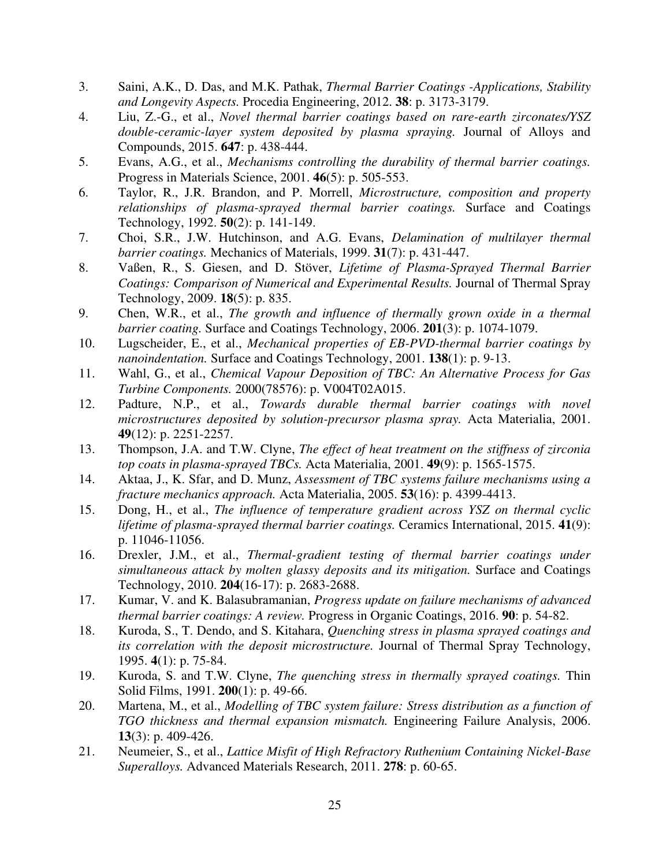- 3. Saini, A.K., D. Das, and M.K. Pathak, *Thermal Barrier Coatings -Applications, Stability and Longevity Aspects.* Procedia Engineering, 2012. **38**: p. 3173-3179.
- 4. Liu, Z.-G., et al., *Novel thermal barrier coatings based on rare-earth zirconates/YSZ double-ceramic-layer system deposited by plasma spraying.* Journal of Alloys and Compounds, 2015. **647**: p. 438-444.
- 5. Evans, A.G., et al., *Mechanisms controlling the durability of thermal barrier coatings.* Progress in Materials Science, 2001. **46**(5): p. 505-553.
- 6. Taylor, R., J.R. Brandon, and P. Morrell, *Microstructure, composition and property relationships of plasma-sprayed thermal barrier coatings.* Surface and Coatings Technology, 1992. **50**(2): p. 141-149.
- 7. Choi, S.R., J.W. Hutchinson, and A.G. Evans, *Delamination of multilayer thermal barrier coatings.* Mechanics of Materials, 1999. **31**(7): p. 431-447.
- 8. Vaßen, R., S. Giesen, and D. Stöver, *Lifetime of Plasma-Sprayed Thermal Barrier Coatings: Comparison of Numerical and Experimental Results.* Journal of Thermal Spray Technology, 2009. **18**(5): p. 835.
- 9. Chen, W.R., et al., *The growth and influence of thermally grown oxide in a thermal barrier coating.* Surface and Coatings Technology, 2006. **201**(3): p. 1074-1079.
- 10. Lugscheider, E., et al., *Mechanical properties of EB-PVD-thermal barrier coatings by nanoindentation.* Surface and Coatings Technology, 2001. **138**(1): p. 9-13.
- 11. Wahl, G., et al., *Chemical Vapour Deposition of TBC: An Alternative Process for Gas Turbine Components.* 2000(78576): p. V004T02A015.
- 12. Padture, N.P., et al., *Towards durable thermal barrier coatings with novel microstructures deposited by solution-precursor plasma spray.* Acta Materialia, 2001. **49**(12): p. 2251-2257.
- 13. Thompson, J.A. and T.W. Clyne, *The effect of heat treatment on the stiffness of zirconia top coats in plasma-sprayed TBCs.* Acta Materialia, 2001. **49**(9): p. 1565-1575.
- 14. Aktaa, J., K. Sfar, and D. Munz, *Assessment of TBC systems failure mechanisms using a fracture mechanics approach.* Acta Materialia, 2005. **53**(16): p. 4399-4413.
- 15. Dong, H., et al., *The influence of temperature gradient across YSZ on thermal cyclic lifetime of plasma-sprayed thermal barrier coatings.* Ceramics International, 2015. **41**(9): p. 11046-11056.
- 16. Drexler, J.M., et al., *Thermal-gradient testing of thermal barrier coatings under simultaneous attack by molten glassy deposits and its mitigation.* Surface and Coatings Technology, 2010. **204**(16-17): p. 2683-2688.
- 17. Kumar, V. and K. Balasubramanian, *Progress update on failure mechanisms of advanced thermal barrier coatings: A review.* Progress in Organic Coatings, 2016. **90**: p. 54-82.
- 18. Kuroda, S., T. Dendo, and S. Kitahara, *Quenching stress in plasma sprayed coatings and its correlation with the deposit microstructure.* Journal of Thermal Spray Technology, 1995. **4**(1): p. 75-84.
- 19. Kuroda, S. and T.W. Clyne, *The quenching stress in thermally sprayed coatings.* Thin Solid Films, 1991. **200**(1): p. 49-66.
- 20. Martena, M., et al., *Modelling of TBC system failure: Stress distribution as a function of TGO thickness and thermal expansion mismatch.* Engineering Failure Analysis, 2006. **13**(3): p. 409-426.
- 21. Neumeier, S., et al., *Lattice Misfit of High Refractory Ruthenium Containing Nickel-Base Superalloys.* Advanced Materials Research, 2011. **278**: p. 60-65.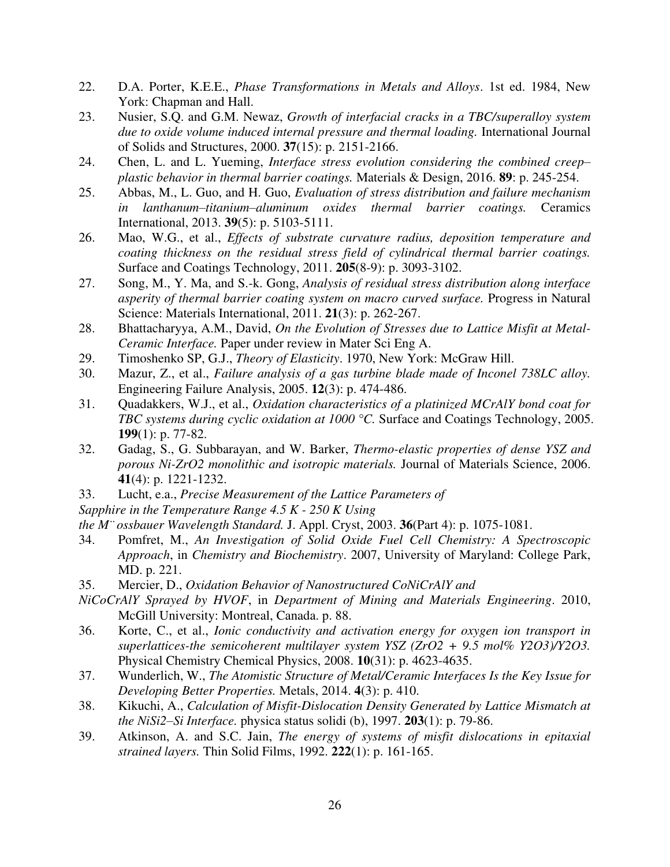- 22. D.A. Porter, K.E.E., *Phase Transformations in Metals and Alloys*. 1st ed. 1984, New York: Chapman and Hall.
- 23. Nusier, S.Q. and G.M. Newaz, *Growth of interfacial cracks in a TBC/superalloy system due to oxide volume induced internal pressure and thermal loading.* International Journal of Solids and Structures, 2000. **37**(15): p. 2151-2166.
- 24. Chen, L. and L. Yueming, *Interface stress evolution considering the combined creep– plastic behavior in thermal barrier coatings.* Materials & Design, 2016. **89**: p. 245-254.
- 25. Abbas, M., L. Guo, and H. Guo, *Evaluation of stress distribution and failure mechanism in lanthanum–titanium–aluminum oxides thermal barrier coatings.* Ceramics International, 2013. **39**(5): p. 5103-5111.
- 26. Mao, W.G., et al., *Effects of substrate curvature radius, deposition temperature and coating thickness on the residual stress field of cylindrical thermal barrier coatings.* Surface and Coatings Technology, 2011. **205**(8-9): p. 3093-3102.
- 27. Song, M., Y. Ma, and S.-k. Gong, *Analysis of residual stress distribution along interface asperity of thermal barrier coating system on macro curved surface.* Progress in Natural Science: Materials International, 2011. **21**(3): p. 262-267.
- 28. Bhattacharyya, A.M., David, *On the Evolution of Stresses due to Lattice Misfit at Metal-Ceramic Interface.* Paper under review in Mater Sci Eng A.
- 29. Timoshenko SP, G.J., *Theory of Elasticity*. 1970, New York: McGraw Hill.
- 30. Mazur, Z., et al., *Failure analysis of a gas turbine blade made of Inconel 738LC alloy.* Engineering Failure Analysis, 2005. **12**(3): p. 474-486.
- 31. Quadakkers, W.J., et al., *Oxidation characteristics of a platinized MCrAlY bond coat for TBC systems during cyclic oxidation at 1000 °C.* Surface and Coatings Technology, 2005. **199**(1): p. 77-82.
- 32. Gadag, S., G. Subbarayan, and W. Barker, *Thermo-elastic properties of dense YSZ and porous Ni-ZrO2 monolithic and isotropic materials.* Journal of Materials Science, 2006. **41**(4): p. 1221-1232.
- 33. Lucht, e.a., *Precise Measurement of the Lattice Parameters of*
- *Sapphire in the Temperature Range 4.5 K 250 K Using*
- *the M¨ ossbauer Wavelength Standard.* J. Appl. Cryst, 2003. **36**(Part 4): p. 1075-1081.
- 34. Pomfret, M., *An Investigation of Solid Oxide Fuel Cell Chemistry: A Spectroscopic Approach*, in *Chemistry and Biochemistry*. 2007, University of Maryland: College Park, MD. p. 221.
- 35. Mercier, D., *Oxidation Behavior of Nanostructured CoNiCrAlY and*
- *NiCoCrAlY Sprayed by HVOF*, in *Department of Mining and Materials Engineering*. 2010, McGill University: Montreal, Canada. p. 88.
- 36. Korte, C., et al., *Ionic conductivity and activation energy for oxygen ion transport in superlattices-the semicoherent multilayer system YSZ (ZrO2 + 9.5 mol% Y2O3)/Y2O3.* Physical Chemistry Chemical Physics, 2008. **10**(31): p. 4623-4635.
- 37. Wunderlich, W., *The Atomistic Structure of Metal/Ceramic Interfaces Is the Key Issue for Developing Better Properties.* Metals, 2014. **4**(3): p. 410.
- 38. Kikuchi, A., *Calculation of Misfit-Dislocation Density Generated by Lattice Mismatch at the NiSi2–Si Interface.* physica status solidi (b), 1997. **203**(1): p. 79-86.
- 39. Atkinson, A. and S.C. Jain, *The energy of systems of misfit dislocations in epitaxial strained layers.* Thin Solid Films, 1992. **222**(1): p. 161-165.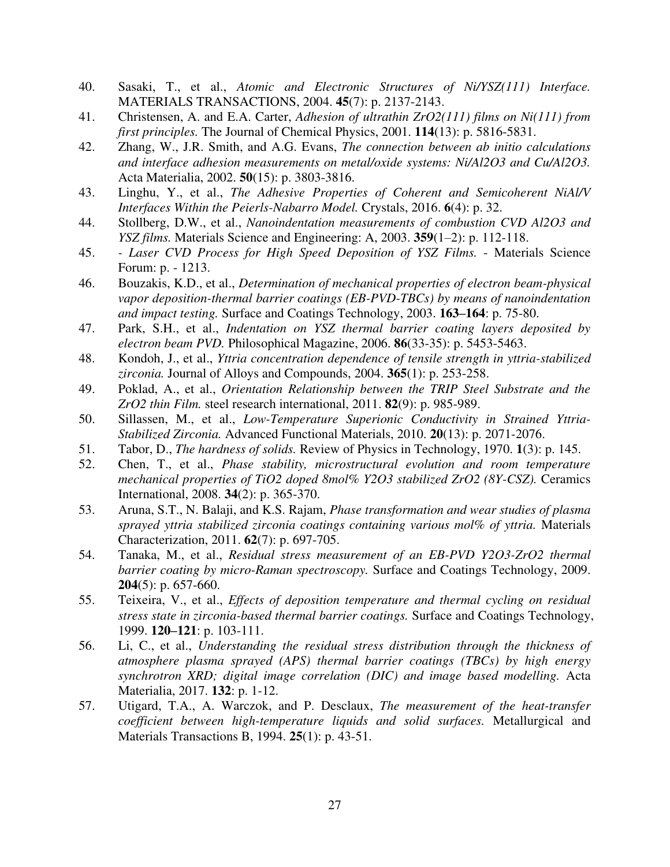- 40. Sasaki, T., et al., *Atomic and Electronic Structures of Ni/YSZ(111) Interface.* MATERIALS TRANSACTIONS, 2004. **45**(7): p. 2137-2143.
- 41. Christensen, A. and E.A. Carter, *Adhesion of ultrathin ZrO2(111) films on Ni(111) from first principles.* The Journal of Chemical Physics, 2001. **114**(13): p. 5816-5831.
- 42. Zhang, W., J.R. Smith, and A.G. Evans, *The connection between ab initio calculations and interface adhesion measurements on metal/oxide systems: Ni/Al2O3 and Cu/Al2O3.* Acta Materialia, 2002. **50**(15): p. 3803-3816.
- 43. Linghu, Y., et al., *The Adhesive Properties of Coherent and Semicoherent NiAl/V Interfaces Within the Peierls-Nabarro Model.* Crystals, 2016. **6**(4): p. 32.
- 44. Stollberg, D.W., et al., *Nanoindentation measurements of combustion CVD Al2O3 and YSZ films.* Materials Science and Engineering: A, 2003. **359**(1–2): p. 112-118.
- 45.  *Laser CVD Process for High Speed Deposition of YSZ Films.* Materials Science Forum: p. - 1213.
- 46. Bouzakis, K.D., et al., *Determination of mechanical properties of electron beam-physical vapor deposition-thermal barrier coatings (EB-PVD-TBCs) by means of nanoindentation and impact testing.* Surface and Coatings Technology, 2003. **163–164**: p. 75-80.
- 47. Park, S.H., et al., *Indentation on YSZ thermal barrier coating layers deposited by electron beam PVD.* Philosophical Magazine, 2006. **86**(33-35): p. 5453-5463.
- 48. Kondoh, J., et al., *Yttria concentration dependence of tensile strength in yttria-stabilized zirconia.* Journal of Alloys and Compounds, 2004. **365**(1): p. 253-258.
- 49. Poklad, A., et al., *Orientation Relationship between the TRIP Steel Substrate and the ZrO2 thin Film.* steel research international, 2011. **82**(9): p. 985-989.
- 50. Sillassen, M., et al., *Low-Temperature Superionic Conductivity in Strained Yttria-Stabilized Zirconia.* Advanced Functional Materials, 2010. **20**(13): p. 2071-2076.
- 51. Tabor, D., *The hardness of solids.* Review of Physics in Technology, 1970. **1**(3): p. 145.
- 52. Chen, T., et al., *Phase stability, microstructural evolution and room temperature mechanical properties of TiO2 doped 8mol% Y2O3 stabilized ZrO2 (8Y-CSZ).* Ceramics International, 2008. **34**(2): p. 365-370.
- 53. Aruna, S.T., N. Balaji, and K.S. Rajam, *Phase transformation and wear studies of plasma sprayed yttria stabilized zirconia coatings containing various mol% of yttria.* Materials Characterization, 2011. **62**(7): p. 697-705.
- 54. Tanaka, M., et al., *Residual stress measurement of an EB-PVD Y2O3-ZrO2 thermal barrier coating by micro-Raman spectroscopy.* Surface and Coatings Technology, 2009. **204**(5): p. 657-660.
- 55. Teixeira, V., et al., *Effects of deposition temperature and thermal cycling on residual stress state in zirconia-based thermal barrier coatings.* Surface and Coatings Technology, 1999. **120–121**: p. 103-111.
- 56. Li, C., et al., *Understanding the residual stress distribution through the thickness of atmosphere plasma sprayed (APS) thermal barrier coatings (TBCs) by high energy synchrotron XRD; digital image correlation (DIC) and image based modelling.* Acta Materialia, 2017. **132**: p. 1-12.
- 57. Utigard, T.A., A. Warczok, and P. Desclaux, *The measurement of the heat-transfer coefficient between high-temperature liquids and solid surfaces.* Metallurgical and Materials Transactions B, 1994. **25**(1): p. 43-51.